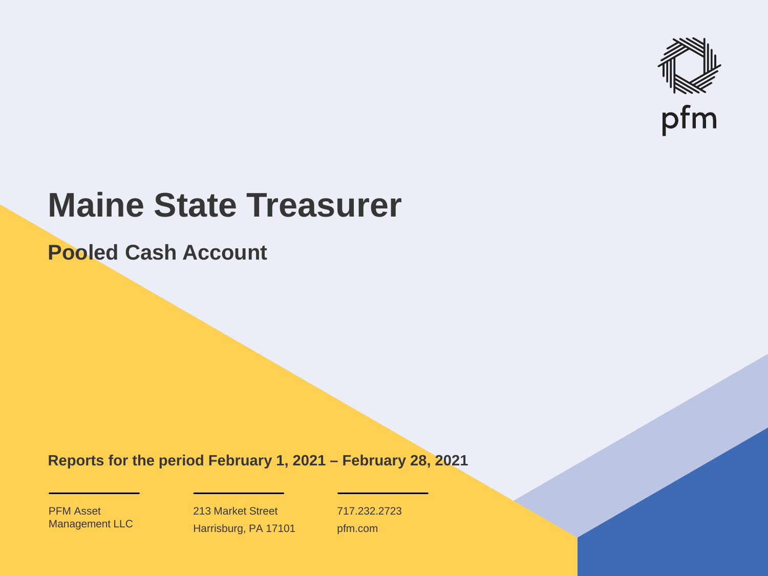

# **Maine State Treasurer**

**Pooled Cash Account**

**Reports for the period February 1, 2021 – February 28, 2021**

PFM Asset Management LLC

213 Market Street Harrisburg, PA 17101 717.232.2723 pfm.com

 $\mathcal{P}_\text{max}$  and  $\mathcal{P}_\text{max}$  is the probability of  $\mathcal{P}_\text{max}$  and  $\mathcal{P}_\text{max}$  and  $\mathcal{P}_\text{max}$  and  $\mathcal{P}_\text{max}$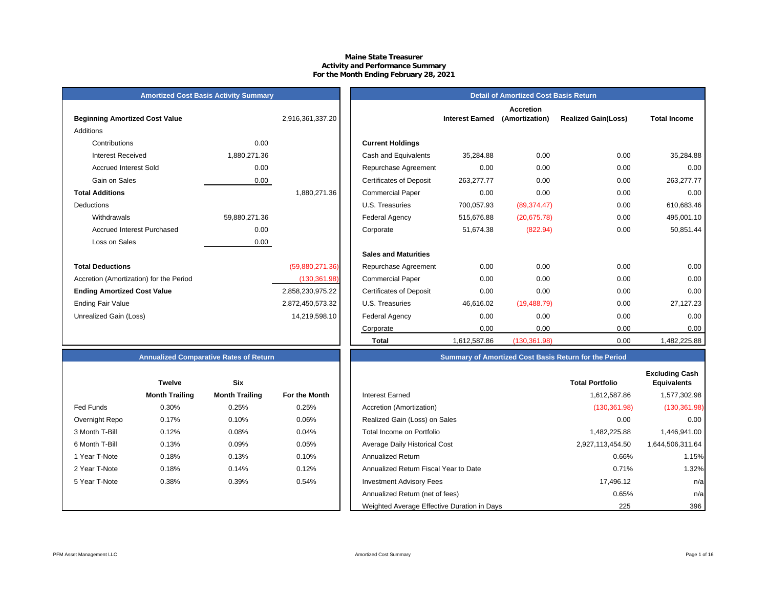## **Maine State Treasurer Activity and Performance Summary For the Month Ending February 28, 2021**

## **Amortized Cost Basis Activity Summary**

| <b>Beginning Amortized Cost Value</b>   |               | 2,916,361,337.20 | <b>Interest Earned</b>                       |
|-----------------------------------------|---------------|------------------|----------------------------------------------|
| <b>Additions</b>                        |               |                  |                                              |
| Contributions                           | 0.00          |                  | <b>Current Holdings</b>                      |
| <b>Interest Received</b>                | 1,880,271.36  |                  | Cash and Equivalents<br>35,284.88            |
| <b>Accrued Interest Sold</b>            | 0.00          |                  | 0.00<br>Repurchase Agreement                 |
| Gain on Sales                           | 0.00          |                  | <b>Certificates of Deposit</b><br>263,277.77 |
| <b>Total Additions</b>                  |               | 1,880,271.36     | 0.00<br><b>Commercial Paper</b>              |
| Deductions                              |               |                  | 700,057.93<br>U.S. Treasuries                |
| Withdrawals                             | 59,880,271.36 |                  | <b>Federal Agency</b><br>515,676.88          |
| <b>Accrued Interest Purchased</b>       | 0.00          |                  | 51,674.38<br>Corporate                       |
| Loss on Sales                           | 0.00          |                  |                                              |
|                                         |               |                  | <b>Sales and Maturities</b>                  |
| <b>Total Deductions</b>                 |               | (59,880,271.36)  | 0.00<br>Repurchase Agreement                 |
| Accretion (Amortization) for the Period |               | (130, 361.98)    | 0.00<br><b>Commercial Paper</b>              |
| <b>Ending Amortized Cost Value</b>      |               | 2,858,230,975.22 | 0.00<br><b>Certificates of Deposit</b>       |
| Ending Fair Value                       |               | 2,872,450,573.32 | 46,616.02<br>U.S. Treasuries                 |
| Unrealized Gain (Loss)                  |               | 14,219,598.10    | 0.00<br>Federal Agency                       |
|                                         |               |                  | $- - -$                                      |

| Amortized Cost Basis Activity Summary   |               |                  | Detail of Amortized Cost Basis Return |                        |                                    |                            |                     |  |  |
|-----------------------------------------|---------------|------------------|---------------------------------------|------------------------|------------------------------------|----------------------------|---------------------|--|--|
| <b>Beginning Amortized Cost Value</b>   |               | 2,916,361,337.20 |                                       | <b>Interest Earned</b> | <b>Accretion</b><br>(Amortization) | <b>Realized Gain(Loss)</b> | <b>Total Income</b> |  |  |
| <b>Additions</b>                        |               |                  |                                       |                        |                                    |                            |                     |  |  |
| Contributions                           | 0.00          |                  | <b>Current Holdings</b>               |                        |                                    |                            |                     |  |  |
| <b>Interest Received</b>                | 1,880,271.36  |                  | Cash and Equivalents                  | 35,284.88              | 0.00                               | 0.00                       | 35,284.88           |  |  |
| <b>Accrued Interest Sold</b>            | 0.00          |                  | Repurchase Agreement                  | 0.00                   | 0.00                               | 0.00                       | 0.00                |  |  |
| Gain on Sales                           | 0.00          |                  | <b>Certificates of Deposit</b>        | 263,277.77             | 0.00                               | 0.00                       | 263,277.77          |  |  |
| <b>Total Additions</b>                  |               | 1,880,271.36     | <b>Commercial Paper</b>               | 0.00                   | 0.00                               | 0.00                       | 0.00                |  |  |
| Deductions                              |               |                  | U.S. Treasuries                       | 700,057.93             | (89, 374.47)                       | 0.00                       | 610,683.46          |  |  |
| Withdrawals                             | 59,880,271.36 |                  | Federal Agency                        | 515,676.88             | (20, 675.78)                       | 0.00                       | 495,001.10          |  |  |
| <b>Accrued Interest Purchased</b>       | 0.00          |                  | Corporate                             | 51,674.38              | (822.94)                           | 0.00                       | 50,851.44           |  |  |
| Loss on Sales                           | 0.00          |                  |                                       |                        |                                    |                            |                     |  |  |
|                                         |               |                  | <b>Sales and Maturities</b>           |                        |                                    |                            |                     |  |  |
| <b>Total Deductions</b>                 |               | (59,880,271.36)  | Repurchase Agreement                  | 0.00                   | 0.00                               | 0.00                       | 0.00                |  |  |
| Accretion (Amortization) for the Period |               | (130, 361.98)    | <b>Commercial Paper</b>               | 0.00                   | 0.00                               | 0.00                       | 0.00                |  |  |
| <b>Ending Amortized Cost Value</b>      |               | 2,858,230,975.22 | <b>Certificates of Deposit</b>        | 0.00                   | 0.00                               | 0.00                       | 0.00                |  |  |
| Ending Fair Value                       |               | 2,872,450,573.32 | U.S. Treasuries                       | 46,616.02              | (19, 488.79)                       | 0.00                       | 27,127.23           |  |  |
| Unrealized Gain (Loss)                  |               | 14,219,598.10    | Federal Agency                        | 0.00                   | 0.00                               | 0.00                       | 0.00                |  |  |
|                                         |               |                  | Corporate                             | 0.00                   | 0.00                               | 0.00                       | 0.00                |  |  |
|                                         |               |                  | <b>Total</b>                          | 1,612,587.86           | (130, 361.98)                      | 0.00                       | 1,482,225.88        |  |  |

## **Annualized Comparative Rates of Return Summary of Amortized Cost Basis Return for the Period**

|                | <b>Twelve</b>         | <b>Six</b>            |               |
|----------------|-----------------------|-----------------------|---------------|
|                | <b>Month Trailing</b> | <b>Month Trailing</b> | For the Month |
| Fed Funds      | 0.30%                 | 0.25%                 | 0.25%         |
| Overnight Repo | 0.17%                 | 0.10%                 | 0.06%         |
| 3 Month T-Bill | 0.12%                 | 0.08%                 | 0.04%         |
| 6 Month T-Bill | 0.13%                 | 0.09%                 | 0.05%         |
| 1 Year T-Note  | 0.18%                 | 0.13%                 | 0.10%         |
| 2 Year T-Note  | 0.18%                 | 0.14%                 | 0.12%         |
| 5 Year T-Note  | 0.38%                 | 0.39%                 | 0.54%         |
|                |                       |                       |               |
|                |                       |                       |               |

|                | <b>Twelve</b>         | <b>Six</b>            |               |                                             | <b>Total Portfolio</b> | <b>Excluding Cash</b><br><b>Equivalents</b> |
|----------------|-----------------------|-----------------------|---------------|---------------------------------------------|------------------------|---------------------------------------------|
|                | <b>Month Trailing</b> | <b>Month Trailing</b> | For the Month | <b>Interest Earned</b>                      | 1,612,587.86           | 1,577,302.98                                |
| Fed Funds      | 0.30%                 | 0.25%                 | 0.25%         | Accretion (Amortization)                    | (130, 361.98)          | (130, 361.98)                               |
| Overnight Repo | 0.17%                 | 0.10%                 | 0.06%         | Realized Gain (Loss) on Sales               | 0.00                   | 0.00                                        |
| 3 Month T-Bill | 0.12%                 | 0.08%                 | 0.04%         | Total Income on Portfolio                   | 1,482,225.88           | 1,446,941.00丨                               |
| 6 Month T-Bill | 0.13%                 | 0.09%                 | 0.05%         | Average Daily Historical Cost               | 2,927,113,454.50       | 1,644,506,311.64                            |
| 1 Year T-Note  | 0.18%                 | 0.13%                 | 0.10%         | <b>Annualized Return</b>                    | 0.66%                  | 1.15%                                       |
| 2 Year T-Note  | 0.18%                 | 0.14%                 | 0.12%         | Annualized Return Fiscal Year to Date       | 0.71%                  | 1.32%                                       |
| 5 Year T-Note  | 0.38%                 | 0.39%                 | 0.54%         | <b>Investment Advisory Fees</b>             | 17,496.12              | n/a                                         |
|                |                       |                       |               | Annualized Return (net of fees)             | 0.65%                  | n/a                                         |
|                |                       |                       |               | Weighted Average Effective Duration in Days | 225                    | 396                                         |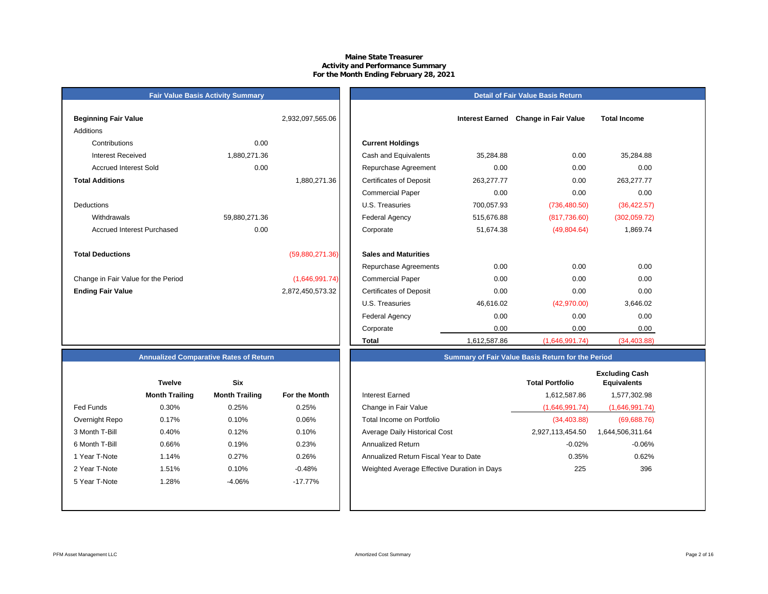## **Maine State Treasurer Activity and Performance Summary For the Month Ending February 28, 2021**

## **Fair Value Basis Activity Summary**

## **Detail of Fair Value Basis Return**

| <b>Beginning Fair Value</b>         |               | 2,932,097,565.06 |                                 |
|-------------------------------------|---------------|------------------|---------------------------------|
| Additions                           |               |                  |                                 |
| Contributions                       | 0.00          |                  | <b>Current Holdings</b>         |
| Interest Received                   | 1,880,271.36  |                  | Cash and Equivalents            |
| <b>Accrued Interest Sold</b>        | 0.00          |                  | Repurchase Agreeme              |
| <b>Total Additions</b>              |               | 1,880,271.36     | <b>Certificates of Deposit</b>  |
|                                     |               |                  | <b>Commercial Paper</b>         |
| <b>Deductions</b>                   |               |                  | U.S. Treasuries                 |
| Withdrawals                         | 59,880,271.36 |                  | <b>Federal Agency</b>           |
| Accrued Interest Purchased          | 0.00          |                  | Corporate                       |
| <b>Total Deductions</b>             |               | (59,880,271.36)  | <b>Sales and Maturities</b>     |
|                                     |               |                  | Repurchase Agreeme              |
| Change in Fair Value for the Period |               | (1,646,991.74)   | <b>Commercial Paper</b>         |
| <b>Ending Fair Value</b>            |               | 2,872,450,573.32 | <b>Certificates of Deposit</b>  |
|                                     |               |                  | $\cdots$ $\sim$ $\sim$ $\cdots$ |

| Beginning Fair Value                |               | 2,932,097,565.06 |                                | <b>Interest Earned</b> | <b>Change in Fair Value</b> | <b>Total Income</b> |  |
|-------------------------------------|---------------|------------------|--------------------------------|------------------------|-----------------------------|---------------------|--|
| Additions                           |               |                  |                                |                        |                             |                     |  |
| Contributions                       | 0.00          |                  | <b>Current Holdings</b>        |                        |                             |                     |  |
| <b>Interest Received</b>            | 1,880,271.36  |                  | Cash and Equivalents           | 35,284.88              | 0.00                        | 35,284.88           |  |
| <b>Accrued Interest Sold</b>        | 0.00          |                  | Repurchase Agreement           | 0.00                   | 0.00                        | 0.00                |  |
| <b>Total Additions</b>              |               | 1,880,271.36     | <b>Certificates of Deposit</b> | 263,277.77             | 0.00                        | 263,277.77          |  |
|                                     |               |                  | <b>Commercial Paper</b>        | 0.00                   | 0.00                        | 0.00                |  |
| Deductions                          |               |                  | U.S. Treasuries                | 700,057.93             | (736, 480.50)               | (36, 422.57)        |  |
| Withdrawals                         | 59,880,271.36 |                  | Federal Agency                 | 515,676.88             | (817,736.60)                | (302,059.72)        |  |
| <b>Accrued Interest Purchased</b>   | 0.00          |                  | Corporate                      | 51,674.38              | (49,804.64)                 | 1,869.74            |  |
| <b>Total Deductions</b>             |               | (59,880,271.36)  | <b>Sales and Maturities</b>    |                        |                             |                     |  |
|                                     |               |                  | Repurchase Agreements          | 0.00                   | 0.00                        | 0.00                |  |
| Change in Fair Value for the Period |               | (1,646,991.74)   | <b>Commercial Paper</b>        | 0.00                   | 0.00                        | 0.00                |  |
| <b>Ending Fair Value</b>            |               | 2,872,450,573.32 | <b>Certificates of Deposit</b> | 0.00                   | 0.00                        | 0.00                |  |
|                                     |               |                  | U.S. Treasuries                | 46,616.02              | (42,970.00)                 | 3,646.02            |  |
|                                     |               |                  | Federal Agency                 | 0.00                   | 0.00                        | 0.00                |  |
|                                     |               |                  | Corporate                      | 0.00                   | 0.00                        | 0.00                |  |
|                                     |               |                  | <b>Total</b>                   | 1,612,587.86           | (1,646,991.74)              | (34, 403.88)        |  |

## **Annualized Comparative Rates of Return**

|                | Twelve                | Six                   |                      |
|----------------|-----------------------|-----------------------|----------------------|
|                | <b>Month Trailing</b> | <b>Month Trailing</b> | <b>For the Month</b> |
| Fed Funds      | 0.30%                 | 0.25%                 | 0.25%                |
| Overnight Repo | 0.17%                 | 0.10%                 | 0.06%                |
| 3 Month T-Bill | 0.40%                 | 0.12%                 | 0.10%                |
| 6 Month T-Bill | 0.66%                 | 0.19%                 | 0.23%                |
| 1 Year T-Note  | 1.14%                 | 0.27%                 | 0.26%                |
| 2 Year T-Note  | 1.51%                 | 0.10%                 | $-0.48%$             |
| 5 Year T-Note  | 1.28%                 | $-4.06%$              | $-17.77%$            |
|                |                       |                       |                      |
|                |                       |                       |                      |

|                | <b>Twelve</b>         | <b>Six</b>            |               |                                             | <b>Total Portfolio</b> | <b>Excluding Cash</b><br><b>Equivalents</b> |
|----------------|-----------------------|-----------------------|---------------|---------------------------------------------|------------------------|---------------------------------------------|
|                | <b>Month Trailing</b> | <b>Month Trailing</b> | For the Month | Interest Earned                             | 1,612,587.86           | 1,577,302.98                                |
| Fed Funds      | 0.30%                 | 0.25%                 | 0.25%         | Change in Fair Value                        | (1,646,991.74)         | (1,646,991.74)                              |
| Overnight Repo | 0.17%                 | 0.10%                 | 0.06%         | Total Income on Portfolio                   | (34, 403.88)           | (69,688.76)                                 |
| 3 Month T-Bill | 0.40%                 | 0.12%                 | 0.10%         | Average Daily Historical Cost               | 2,927,113,454.50       | 1,644,506,311.64                            |
| 6 Month T-Bill | 0.66%                 | 0.19%                 | 0.23%         | <b>Annualized Return</b>                    | $-0.02\%$              | -0.06%                                      |
| 1 Year T-Note  | 1.14%                 | 0.27%                 | 0.26%         | Annualized Return Fiscal Year to Date       | 0.35%                  | 0.62%                                       |
| 2 Year T-Note  | 1.51%                 | 0.10%                 | $-0.48%$      | Weighted Average Effective Duration in Days | 225                    | 396                                         |
| 5 Year T-Note  | 1.28%                 | $-4.06%$              | $-17.77\%$    |                                             |                        |                                             |
|                |                       |                       |               |                                             |                        |                                             |

**Summary of Fair Value Basis Return for the Period**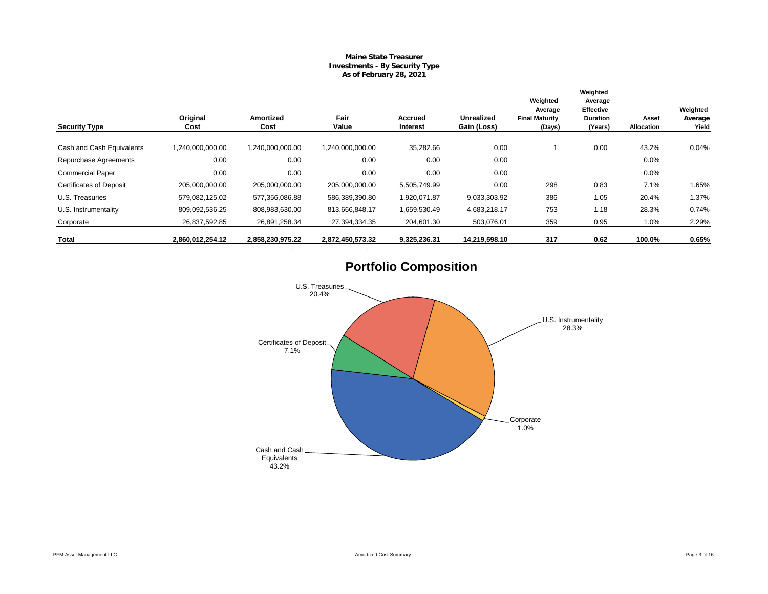## **Maine State Treasurer Investments - By Security Type As of February 28, 2021**

|                                |                  |                          |                  |                            |                                  | Weighted<br>Average             | Weighted<br>Average<br><b>Effective</b> |                     | Weighted         |
|--------------------------------|------------------|--------------------------|------------------|----------------------------|----------------------------------|---------------------------------|-----------------------------------------|---------------------|------------------|
| <b>Security Type</b>           | Original<br>Cost | <b>Amortized</b><br>Cost | Fair<br>Value    | <b>Accrued</b><br>Interest | <b>Unrealized</b><br>Gain (Loss) | <b>Final Maturity</b><br>(Days) | <b>Duration</b><br>(Years)              | Asset<br>Allocation | Average<br>Yield |
|                                |                  |                          |                  |                            |                                  |                                 |                                         |                     |                  |
| Cash and Cash Equivalents      | 1,240,000,000.00 | 1,240,000,000.00         | 1,240,000,000.00 | 35,282.66                  | 0.00                             |                                 | 0.00                                    | 43.2%               | 0.04%            |
| Repurchase Agreements          | 0.00             | 0.00                     | 0.00             | 0.00                       | 0.00                             |                                 |                                         | 0.0%                |                  |
| <b>Commercial Paper</b>        | 0.00             | 0.00                     | 0.00             | 0.00                       | 0.00                             |                                 |                                         | 0.0%                |                  |
| <b>Certificates of Deposit</b> | 205,000,000.00   | 205,000,000.00           | 205,000,000.00   | 5,505,749.99               | 0.00                             | 298                             | 0.83                                    | 7.1%                | 1.65%            |
| U.S. Treasuries                | 579,082,125.02   | 577,356,086.88           | 586,389,390.80   | 1,920,071.87               | 9,033,303.92                     | 386                             | 1.05                                    | 20.4%               | 1.37%            |
| U.S. Instrumentality           | 809,092,536.25   | 808,983,630.00           | 813,666,848.17   | 1,659,530.49               | 4,683,218.17                     | 753                             | 1.18                                    | 28.3%               | 0.74%            |
| Corporate                      | 26,837,592.85    | 26,891,258.34            | 27,394,334.35    | 204,601.30                 | 503,076.01                       | 359                             | 0.95                                    | 1.0%                | 2.29%            |
| Total                          | 2,860,012,254.12 | 2,858,230,975.22         | 2,872,450,573.32 | 9,325,236.31               | 14,219,598.10                    | 317                             | 0.62                                    | 100.0%              | 0.65%            |

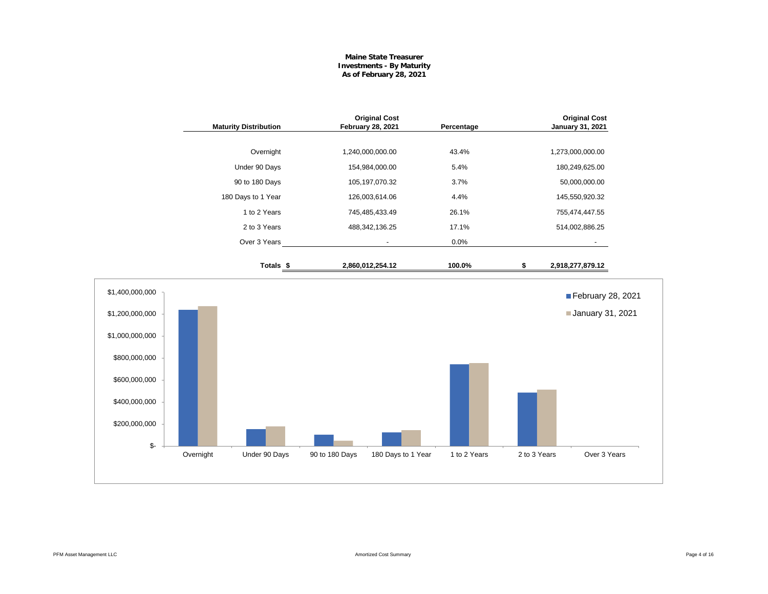## **Maine State Treasurer Investments - By Maturity As of February 28, 2021**

|                 | <b>Maturity Distribution</b> | <b>Original Cost</b><br><b>February 28, 2021</b> | Percentage   |              | <b>Original Cost</b><br>January 31, 2021 |  |  |
|-----------------|------------------------------|--------------------------------------------------|--------------|--------------|------------------------------------------|--|--|
|                 | Overnight                    | 1,240,000,000.00                                 | 43.4%        |              | 1,273,000,000.00                         |  |  |
|                 | Under 90 Days                | 154,984,000.00                                   | 5.4%         |              | 180,249,625.00                           |  |  |
|                 | 90 to 180 Days               | 105,197,070.32                                   | 3.7%         |              | 50,000,000.00                            |  |  |
|                 | 180 Days to 1 Year           | 126,003,614.06                                   | 4.4%         |              | 145,550,920.32                           |  |  |
|                 | 1 to 2 Years                 | 745,485,433.49                                   | 26.1%        |              | 755,474,447.55                           |  |  |
|                 | 2 to 3 Years                 | 488, 342, 136. 25                                | 17.1%        |              | 514,002,886.25                           |  |  |
|                 | Over 3 Years                 |                                                  | 0.0%         |              |                                          |  |  |
|                 | Totals <sub>\$</sub>         | 2,860,012,254.12                                 | 100.0%       | \$           | 2,918,277,879.12                         |  |  |
| \$1,400,000,000 |                              |                                                  |              |              | February 28, 2021                        |  |  |
| \$1,200,000,000 |                              |                                                  |              |              | January 31, 2021                         |  |  |
| \$1,000,000,000 |                              |                                                  |              |              |                                          |  |  |
| \$800,000,000   |                              |                                                  |              |              |                                          |  |  |
| \$600,000,000   |                              |                                                  |              |              |                                          |  |  |
| \$400,000,000   |                              |                                                  |              |              |                                          |  |  |
| \$200,000,000   |                              |                                                  |              |              |                                          |  |  |
| \$-             |                              |                                                  |              | 2 to 3 Years |                                          |  |  |
| Overnight       | Under 90 Days                | 90 to 180 Days<br>180 Days to 1 Year             | 1 to 2 Years |              | Over 3 Years                             |  |  |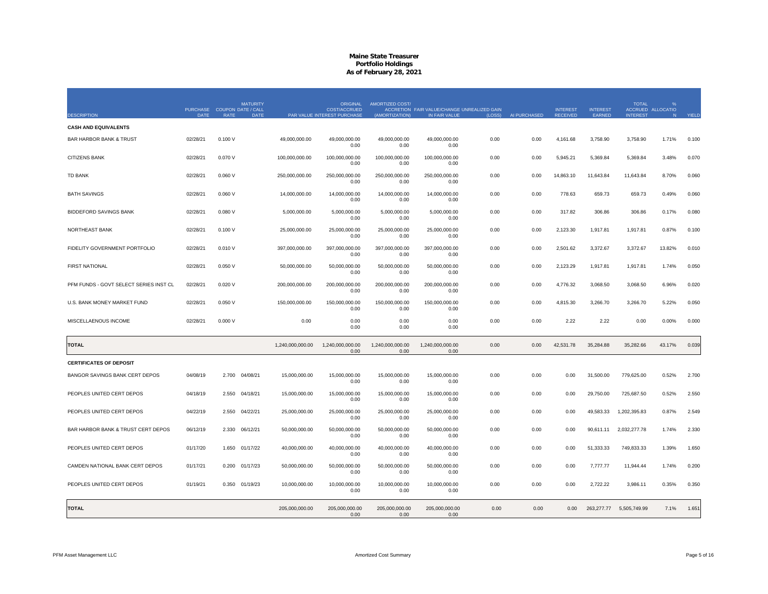| <b>DESCRIPTION</b>                     | PURCHASE COUPON DATE / CALL<br><b>DATE</b> | <b>RATE</b> | <b>MATURITY</b><br><b>DATE</b> |                  | <b>ORIGINAL</b><br><b>COST/ACCRUED</b><br>PAR VALUE INTEREST PURCHASE | AMORTIZED COST/<br>(AMORTIZATION) | ACCRETION FAIR VALUE/CHANGE UNREALIZED GAIN<br>IN FAIR VALUE | (LOSS) | AI PURCHASED | <b>INTEREST</b><br><b>RECEIVED</b> | <b>INTEREST</b><br>EARNED | <b>TOTAL</b><br><b>INTEREST</b> | ACCRUED ALLOCATIO<br>N | YIELD |
|----------------------------------------|--------------------------------------------|-------------|--------------------------------|------------------|-----------------------------------------------------------------------|-----------------------------------|--------------------------------------------------------------|--------|--------------|------------------------------------|---------------------------|---------------------------------|------------------------|-------|
| <b>CASH AND EQUIVALENTS</b>            |                                            |             |                                |                  |                                                                       |                                   |                                                              |        |              |                                    |                           |                                 |                        |       |
| <b>BAR HARBOR BANK &amp; TRUST</b>     | 02/28/21                                   | 0.100V      |                                | 49,000,000.00    | 49,000,000.00                                                         | 49,000,000.00                     | 49,000,000.00                                                | 0.00   | 0.00         | 4,161.68                           | 3,758.90                  | 3,758.90                        | 1.71%                  | 0.100 |
|                                        |                                            |             |                                |                  | 0.00                                                                  | 0.00                              | 0.00                                                         |        |              |                                    |                           |                                 |                        |       |
| <b>CITIZENS BANK</b>                   | 02/28/21                                   | 0.070 V     |                                | 100,000,000.00   | 100,000,000.00<br>0.00                                                | 100,000,000.00<br>0.00            | 100,000,000.00<br>0.00                                       | 0.00   | 0.00         | 5,945.21                           | 5,369.84                  | 5,369.84                        | 3.48%                  | 0.070 |
| TD BANK                                | 02/28/21                                   | 0.060V      |                                | 250,000,000.00   | 250,000,000.00<br>0.00                                                | 250,000,000.00<br>0.00            | 250,000,000.00<br>0.00                                       | 0.00   | 0.00         | 14,863.10                          | 11,643.84                 | 11,643.84                       | 8.70%                  | 0.060 |
| <b>BATH SAVINGS</b>                    | 02/28/21                                   | 0.060V      |                                | 14,000,000.00    | 14,000,000.00<br>0.00                                                 | 14,000,000.00<br>0.00             | 14,000,000.00<br>0.00                                        | 0.00   | 0.00         | 778.63                             | 659.73                    | 659.73                          | 0.49%                  | 0.060 |
| <b>BIDDEFORD SAVINGS BANK</b>          | 02/28/21                                   | 0.080V      |                                | 5,000,000.00     | 5,000,000.00<br>0.00                                                  | 5,000,000.00<br>0.00              | 5,000,000.00<br>0.00                                         | 0.00   | 0.00         | 317.82                             | 306.86                    | 306.86                          | 0.17%                  | 0.080 |
| NORTHEAST BANK                         | 02/28/21                                   | 0.100V      |                                | 25,000,000.00    | 25,000,000.00<br>0.00                                                 | 25,000,000.00<br>0.00             | 25,000,000.00<br>0.00                                        | 0.00   | 0.00         | 2,123.30                           | 1,917.81                  | 1,917.81                        | 0.87%                  | 0.100 |
| FIDELITY GOVERNMENT PORTFOLIO          | 02/28/21                                   | 0.010V      |                                | 397,000,000.00   | 397,000,000.00<br>0.00                                                | 397,000,000.00<br>0.00            | 397,000,000.00<br>0.00                                       | 0.00   | 0.00         | 2,501.62                           | 3,372.67                  | 3,372.67                        | 13.82%                 | 0.010 |
| <b>FIRST NATIONAL</b>                  | 02/28/21                                   | 0.050V      |                                | 50,000,000.00    | 50,000,000.00<br>0.00                                                 | 50,000,000.00<br>0.00             | 50,000,000.00<br>0.00                                        | 0.00   | 0.00         | 2,123.29                           | 1,917.81                  | 1,917.81                        | 1.74%                  | 0.050 |
| PFM FUNDS - GOVT SELECT SERIES INST CL | 02/28/21                                   | 0.020V      |                                | 200,000,000.00   | 200,000,000.00<br>0.00                                                | 200,000,000.00<br>0.00            | 200,000,000.00<br>0.00                                       | 0.00   | 0.00         | 4,776.32                           | 3,068.50                  | 3,068.50                        | 6.96%                  | 0.020 |
| U.S. BANK MONEY MARKET FUND            | 02/28/21                                   | 0.050V      |                                | 150,000,000.00   | 150,000,000.00<br>0.00                                                | 150,000,000.00<br>0.00            | 150,000,000.00<br>0.00                                       | 0.00   | 0.00         | 4,815.30                           | 3,266.70                  | 3,266.70                        | 5.22%                  | 0.050 |
| MISCELLAENOUS INCOME                   | 02/28/21                                   | 0.000V      |                                | 0.00             | 0.00<br>0.00                                                          | 0.00<br>0.00                      | 0.00<br>0.00                                                 | 0.00   | 0.00         | 2.22                               | 2.22                      | 0.00                            | 0.00%                  | 0.000 |
| <b>TOTAL</b>                           |                                            |             |                                | 1,240,000,000.00 | 1,240,000,000.00<br>0.00                                              | 1,240,000,000.00<br>0.00          | 1,240,000,000.00<br>0.00                                     | 0.00   | 0.00         | 42,531.78                          | 35,284.88                 | 35,282.66                       | 43.17%                 | 0.039 |
| <b>CERTIFICATES OF DEPOSIT</b>         |                                            |             |                                |                  |                                                                       |                                   |                                                              |        |              |                                    |                           |                                 |                        |       |
| BANGOR SAVINGS BANK CERT DEPOS         | 04/08/19                                   | 2.700       | 04/08/21                       | 15,000,000.00    | 15,000,000.00<br>0.00                                                 | 15,000,000.00<br>0.00             | 15,000,000.00<br>0.00                                        | 0.00   | 0.00         | 0.00                               | 31,500.00                 | 779,625.00                      | 0.52%                  | 2.700 |
| PEOPLES UNITED CERT DEPOS              | 04/18/19                                   | 2.550       | 04/18/21                       | 15,000,000.00    | 15,000,000.00<br>0.00                                                 | 15,000,000.00<br>0.00             | 15,000,000.00<br>0.00                                        | 0.00   | 0.00         | 0.00                               | 29,750.00                 | 725,687.50                      | 0.52%                  | 2.550 |
| PEOPLES UNITED CERT DEPOS              | 04/22/19                                   | 2.550       | 04/22/21                       | 25,000,000.00    | 25,000,000.00<br>0.00                                                 | 25,000,000.00<br>0.00             | 25,000,000.00<br>0.00                                        | 0.00   | 0.00         | 0.00                               | 49,583.33                 | 1,202,395.83                    | 0.87%                  | 2.549 |
| BAR HARBOR BANK & TRUST CERT DEPOS     | 06/12/19                                   | 2.330       | 06/12/21                       | 50,000,000.00    | 50,000,000.00<br>0.00                                                 | 50,000,000.00<br>0.00             | 50,000,000.00<br>0.00                                        | 0.00   | 0.00         | 0.00                               | 90,611.11                 | 2,032,277.78                    | 1.74%                  | 2.330 |
| PEOPLES UNITED CERT DEPOS              | 01/17/20                                   | 1.650       | 01/17/22                       | 40,000,000.00    | 40,000,000.00<br>0.00                                                 | 40,000,000.00<br>0.00             | 40,000,000.00<br>0.00                                        | 0.00   | 0.00         | 0.00                               | 51,333.33                 | 749,833.33                      | 1.39%                  | 1.650 |
| CAMDEN NATIONAL BANK CERT DEPOS        | 01/17/21                                   | 0.200       | 01/17/23                       | 50,000,000.00    | 50,000,000.00<br>0.00                                                 | 50,000,000.00<br>0.00             | 50,000,000.00<br>0.00                                        | 0.00   | 0.00         | 0.00                               | 7,777.77                  | 11,944.44                       | 1.74%                  | 0.200 |
| PEOPLES UNITED CERT DEPOS              | 01/19/21                                   |             | 0.350 01/19/23                 | 10,000,000.00    | 10,000,000.00<br>0.00                                                 | 10.000.000.00<br>0.00             | 10,000,000.00<br>0.00                                        | 0.00   | 0.00         | 0.00                               | 2,722.22                  | 3.986.11                        | 0.35%                  | 0.350 |
| <b>TOTAL</b>                           |                                            |             |                                | 205,000,000.00   | 205,000,000.00<br>0.00                                                | 205,000,000.00<br>0.00            | 205,000,000.00<br>0.00                                       | 0.00   | 0.00         | 0.00                               | 263,277.77                | 5,505,749.99                    | 7.1%                   | 1.651 |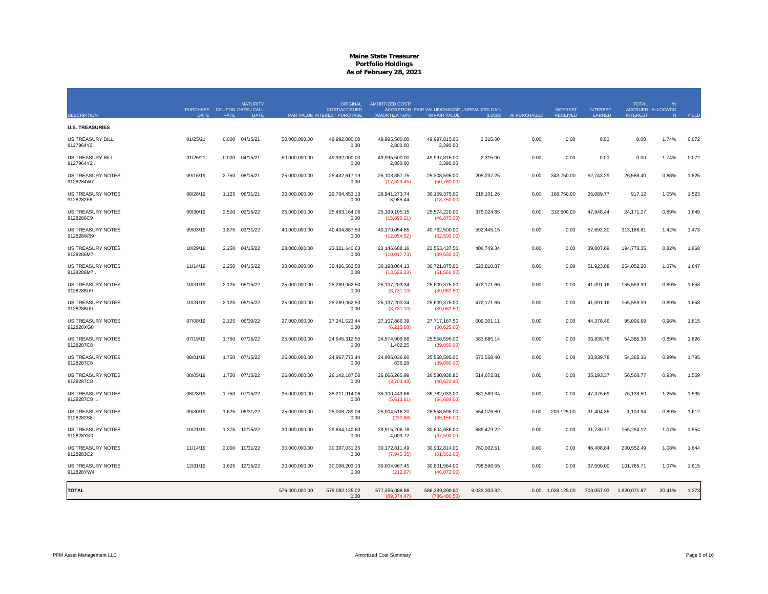|                                       | PURCHASE COUPON DATE / CALL |       | <b>MATURITY</b> |                | <b>ORIGINAL</b><br><b>COST/ACCRUED</b> | AMORTIZED COST/                | ACCRETION FAIR VALUE/CHANGE UNREALIZED GAIN |              |              | <b>INTEREST</b>   | <b>INTEREST</b> | <b>TOTAL</b>    | %<br>ACCRUED ALLOCATIO |       |
|---------------------------------------|-----------------------------|-------|-----------------|----------------|----------------------------------------|--------------------------------|---------------------------------------------|--------------|--------------|-------------------|-----------------|-----------------|------------------------|-------|
| <b>DESCRIPTION</b>                    | DATE                        | RATE  | DATE            |                | PAR VALUE INTEREST PURCHASE            | (AMORTIZATION)                 | IN FAIR VALUE                               | (LOSS)       | AI PURCHASED | <b>RECEIVED</b>   | EARNED          | <b>INTEREST</b> | N                      | YIELD |
| <b>U.S. TREASURIES</b>                |                             |       |                 |                |                                        |                                |                                             |              |              |                   |                 |                 |                        |       |
| <b>US TREASURY BILL</b><br>9127964Y2  | 01/25/21                    | 0.000 | 04/15/21        | 50,000,000.00  | 49,992,000.00<br>0.00                  | 49,995,500.00<br>2,800.00      | 49,997,815.00<br>3,390.00                   | 2,315.00     | 0.00         | 0.00              | 0.00            | 0.00            | 1.74%                  | 0.072 |
| US TREASURY BILL<br>9127964Y2.        | 01/25/21                    | 0.000 | 04/15/21        | 50,000,000.00  | 49,992,000.00<br>0.00                  | 49,995,500.00<br>2,800.00      | 49,997,815.00<br>3,390.00                   | 2,315.00     | 0.00         | 0.00              | 0.00            | 0.00            | 1.74%                  | 0.072 |
| <b>US TREASURY NOTES</b><br>9128284W7 | 09/16/19                    | 2.750 | 08/15/21        | 25,000,000.00  | 25,432,617.19<br>0.00                  | 25,103,357.75<br>(17,329.45)   | 25,308,595.00<br>(50,780.00)                | 205,237.25   | 0.00         | 343,750.00        | 52,743.29       | 26,588.40       | 0.88%                  | 1.825 |
| <b>US TREASURY NOTES</b><br>9128282F6 | 08/28/19                    | 1.125 | 08/31/21        | 30,000,000.00  | 29,764,453.13<br>0.00                  | 29,941,273.74<br>8,985.44      | 30,159,375.00<br>(18,750.00)                | 218,101.26   | 0.00         | 168,750.00        | 26,089.77       | 917.12          | 1.05%                  | 1.523 |
| <b>US TREASURY NOTES</b><br>9128286C9 | 09/30/19                    | 2.500 | 02/15/22        | 25,000,000.00  | 25,493,164.06<br>0.00                  | 25,199,195.15<br>(15,890.21)   | 25,574,220.00<br>(46, 875.00)               | 375,024.85   | 0.00         | 312,500.00        | 47,948.44       | 24,171.27       | 0.89%                  | 1.649 |
| <b>US TREASURY NOTES</b><br>912828W89 | 09/03/19                    | 1.875 | 03/31/22        | 40,000,000.00  | 40,404,687.50<br>0.00                  | 40,170,054.85<br>(12,054.52)   | 40,762,500.00<br>(62,500.00)                | 592,445.15   | 0.00         | 0.00              | 57,692.30       | 313,186.81      | 1.42%                  | 1.473 |
| <b>US TREASURY NOTES</b><br>9128286M7 | 10/29/19                    | 2.250 | 04/15/22        | 23,000,000.00  | 23,321,640.63<br>0.00                  | 23,146,688.16<br>(10,017.73)   | 23,553,437.50<br>(39,530.10)                | 406,749.34   | 0.00         | 0.00              | 39,807.69       | 194,773.35      | 0.82%                  | 1.668 |
| US TREASURY NOTES<br>9128286M7.       | 11/14/19                    | 2.250 | 04/15/22        | 30,000,000.00  | 30,426,562.50<br>0.00                  | 30,198,064.13<br>(13,526.33)   | 30,721,875.00<br>(51, 561.00)               | 523,810.87   | 0.00         | 0.00              | 51,923.08       | 254,052.20      | 1.07%                  | 1.647 |
| US TREASURY NOTES<br>9128286U9        | 10/31/19                    | 2.125 | 05/15/22        | 25,000,000.00  | 25,289,062.50<br>0.00                  | 25, 137, 203. 34<br>(8,731.13) | 25,609,375.00<br>(39,062.50)                | 472,171.66   | 0.00         | 0.00              | 41,091.16       | 155,559.39      | 0.89%                  | 1.658 |
| <b>US TREASURY NOTES</b><br>9128286U9 | 10/31/19                    | 2.125 | 05/15/22        | 25,000,000.00  | 25,289,062.50<br>0.00                  | 25, 137, 203. 34<br>(8,731.13) | 25,609,375.00<br>(39,062.50)                | 472,171.66   | 0.00         | 0.00              | 41,091.16       | 155,559.39      | 0.89%                  | 1.658 |
| <b>US TREASURY NOTES</b><br>912828XG0 | 07/08/19                    | 2.125 | 06/30/22        | 27,000,000.00  | 27.241.523.44<br>0.00                  | 27.107.886.39<br>(6,215.68)    | 27,717,187.50<br>(50,625.00)                | 609,301.11   | 0.00         | 0.00              | 44,378.46       | 95.096.69       | 0.96%                  | 1.815 |
| <b>US TREASURY NOTES</b><br>9128287C8 | 07/19/19                    | 1.750 | 07/15/22        | 25,000,000.00  | 24,945,312.50<br>0.00                  | 24,974,909.86<br>1,402.25      | 25,558,595.00<br>(39,060.00)                | 583,685.14   | 0.00         | 0.00              | 33,839.78       | 54,385.36       | 0.89%                  | 1.826 |
| <b>US TREASURY NOTES</b><br>9128287C8 | 08/01/19                    | 1.750 | 07/15/22        | 25,000,000.00  | 24,967,773.44<br>0.00                  | 24,985,036.60<br>836.28        | 25,558,595.00<br>(39,060.00)                | 573,558.40   | 0.00         | 0.00              | 33,839.78       | 54,385.36       | 0.89%                  | 1.795 |
| <b>US TREASURY NOTES</b><br>9128287C8 | 08/05/19                    | 1.750 | 07/15/22        | 26,000,000.00  | 26,142,187.50<br>0.00                  | 26,066,265.99<br>(3,703.49)    | 26,580,938.80<br>(40,622.40)                | 514,672.81   | 0.00         | 0.00              | 35,193.37       | 56,560.77       | 0.93%                  | 1.559 |
| <b>US TREASURY NOTES</b><br>9128287C8 | 08/23/19                    | 1.750 | 07/15/22        | 35,000,000.00  | 35,211,914.06<br>0.00                  | 35,100,443.66<br>(5,613.61)    | 35,782,033.00<br>(54,684.00)                | 681,589.34   | 0.00         | 0.00              | 47,375.69       | 76,139.50       | 1.25%                  | 1.535 |
| <b>US TREASURY NOTES</b><br>9128282S8 | 09/30/19                    | 1.625 | 08/31/22        | 25,000,000.00  | 25,008,789.06<br>0.00                  | 25,004,518.20<br>(230.86)      | 25,558,595.00<br>(35, 155.00)               | 554,076.80   | 0.00         | 203,125.00        | 31,404.35       | 1,103.94        | 0.89%                  | 1.612 |
| <b>US TREASURY NOTES</b><br>912828YK0 | 10/21/19                    | 1.375 | 10/15/22        | 30,000,000.00  | 29,844,140.63<br>0.00                  | 29,915,206.78<br>4,003.72      | 30,604,686.00<br>(37,500.00)                | 689,479.22   | 0.00         | 0.00              | 31,730.77       | 155,254.12      | 1.07%                  | 1.554 |
| <b>US TREASURY NOTES</b><br>9128283C2 | 11/14/19                    | 2.000 | 10/31/22        | 30,000,000.00  | 30,307,031.25<br>0.00                  | 30,172,811.49<br>(7,945.35)    | 30,932,814.00<br>(51, 561.00)               | 760,002.51   | 0.00         | 0.00              | 46,408.84       | 200,552.49      | 1.08%                  | 1.644 |
| <b>US TREASURY NOTES</b><br>912828YW4 | 12/31/19                    | 1.625 | 12/15/22        | 30,000,000.00  | 30,008,203.13<br>0.00                  | 30,004,967.45<br>(212.67)      | 30,801,564.00<br>(46, 872.00)               | 796,596.55   | 0.00         | 0.00              | 37,500.00       | 101,785.71      | 1.07%                  | 1.615 |
| <b>TOTAL</b>                          |                             |       |                 | 576,000,000.00 | 579,082,125.02<br>0.00                 | 577,356,086.88<br>(89, 374.47) | 586,389,390.80<br>(736, 480.50)             | 9,033,303.92 |              | 0.00 1,028,125.00 | 700,057.93      | 1,920,071.87    | 20.41%                 | 1.373 |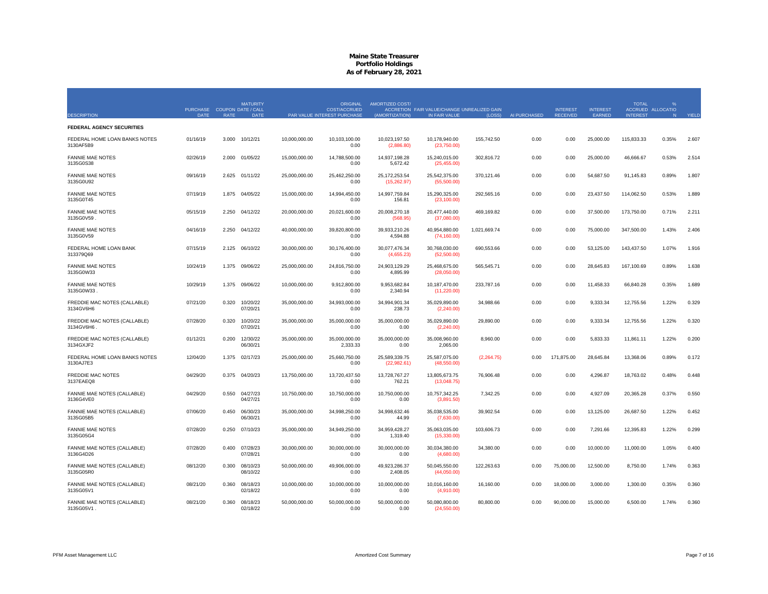|                                            | PURCHASE COUPON DATE / CALL |             | <b>MATURITY</b>      |               | <b>ORIGINAL</b><br>COST/ACCRUED | AMORTIZED COST/                | ACCRETION FAIR VALUE/CHANGE UNREALIZED GAIN |              |              | <b>INTEREST</b> | <b>INTEREST</b> | <b>TOTAL</b>    | ACCRUED ALLOCATIO |       |
|--------------------------------------------|-----------------------------|-------------|----------------------|---------------|---------------------------------|--------------------------------|---------------------------------------------|--------------|--------------|-----------------|-----------------|-----------------|-------------------|-------|
| <b>DESCRIPTION</b>                         | <b>DATE</b>                 | <b>RATE</b> | <b>DATE</b>          |               | PAR VALUE INTEREST PURCHASE     | (AMORTIZATION)                 | IN FAIR VALUE                               | (LOSS)       | AI PURCHASED | <b>RECEIVED</b> | EARNED          | <b>INTEREST</b> | N                 | YIELD |
| <b>FEDERAL AGENCY SECURITIES</b>           |                             |             |                      |               |                                 |                                |                                             |              |              |                 |                 |                 |                   |       |
| FEDERAL HOME LOAN BANKS NOTES<br>3130AF5B9 | 01/16/19                    | 3.000       | 10/12/21             | 10.000.000.00 | 10.103.100.00<br>0.00           | 10.023.197.50<br>(2,886.80)    | 10.178.940.00<br>(23,750.00)                | 155.742.50   | 0.00         | 0.00            | 25.000.00       | 115.833.33      | 0.35%             | 2.607 |
| <b>FANNIE MAE NOTES</b><br>3135G0S38       | 02/26/19                    | 2.000       | 01/05/22             | 15,000,000.00 | 14,788,500.00<br>0.00           | 14,937,198.28<br>5,672.42      | 15,240,015.00<br>(25, 455.00)               | 302,816.72   | 0.00         | 0.00            | 25,000.00       | 46,666.67       | 0.53%             | 2.514 |
| <b>FANNIE MAE NOTES</b><br>3135G0U92       | 09/16/19                    | 2.625       | 01/11/22             | 25,000,000.00 | 25,462,250.00<br>0.00           | 25, 172, 253.54<br>(15,262.97) | 25,542,375.00<br>(55,500.00)                | 370,121.46   | 0.00         | 0.00            | 54,687.50       | 91,145.83       | 0.89%             | 1.807 |
| <b>FANNIE MAE NOTES</b><br>3135G0T45       | 07/19/19                    | 1.875       | 04/05/22             | 15,000,000.00 | 14,994,450.00<br>0.00           | 14,997,759.84<br>156.81        | 15,290,325.00<br>(23, 100.00)               | 292,565.16   | 0.00         | 0.00            | 23,437.50       | 114,062.50      | 0.53%             | 1.889 |
| <b>FANNIE MAE NOTES</b><br>3135G0V59       | 05/15/19                    | 2.250       | 04/12/22             | 20,000,000.00 | 20,021,600.00<br>0.00           | 20,008,270.18<br>(568.95)      | 20,477,440.00<br>(37,080.00)                | 469,169.82   | 0.00         | 0.00            | 37,500.00       | 173,750.00      | 0.71%             | 2.211 |
| <b>FANNIE MAE NOTES</b><br>3135G0V59       | 04/16/19                    | 2.250       | 04/12/22             | 40,000,000.00 | 39,820,800.00<br>0.00           | 39,933,210.26<br>4,594.88      | 40,954,880.00<br>(74, 160.00)               | 1,021,669.74 | 0.00         | 0.00            | 75,000.00       | 347,500.00      | 1.43%             | 2.406 |
| FEDERAL HOME LOAN BANK<br>313379Q69        | 07/15/19                    | 2.125       | 06/10/22             | 30,000,000.00 | 30,176,400.00<br>0.00           | 30,077,476.34<br>(4,655.23)    | 30,768,030.00<br>(52,500.00)                | 690,553.66   | 0.00         | 0.00            | 53,125.00       | 143,437.50      | 1.07%             | 1.916 |
| <b>FANNIE MAE NOTES</b><br>3135G0W33       | 10/24/19                    | 1.375       | 09/06/22             | 25,000,000.00 | 24,816,750.00<br>0.00           | 24,903,129.29<br>4,895.99      | 25,468,675.00<br>(28,050.00)                | 565,545.71   | 0.00         | 0.00            | 28,645.83       | 167,100.69      | 0.89%             | 1.638 |
| <b>FANNIE MAE NOTES</b><br>3135G0W33       | 10/29/19                    | 1.375       | 09/06/22             | 10,000,000.00 | 9,912,800.00<br>0.00            | 9,953,682.84<br>2,340.94       | 10,187,470.00<br>(11, 220.00)               | 233,787.16   | 0.00         | 0.00            | 11,458.33       | 66,840.28       | 0.35%             | 1.689 |
| FREDDIE MAC NOTES (CALLABLE)<br>3134GV6H6  | 07/21/20                    | 0.320       | 10/20/22<br>07/20/21 | 35,000,000.00 | 34.993.000.00<br>0.00           | 34,994,901.34<br>238.73        | 35,029,890.00<br>(2,240.00)                 | 34,988.66    | 0.00         | 0.00            | 9.333.34        | 12,755.56       | 1.22%             | 0.329 |
| FREDDIE MAC NOTES (CALLABLE)<br>3134GV6H6  | 07/28/20                    | 0.320       | 10/20/22<br>07/20/21 | 35,000,000.00 | 35,000,000.00<br>0.00           | 35.000.000.00<br>0.00          | 35,029,890.00<br>(2,240.00)                 | 29.890.00    | 0.00         | 0.00            | 9.333.34        | 12,755.56       | 1.22%             | 0.320 |
| FREDDIE MAC NOTES (CALLABLE)<br>3134GXJF2  | 01/12/21                    | 0.200       | 12/30/22<br>06/30/21 | 35,000,000.00 | 35.000.000.00<br>2,333.33       | 35.000.000.00<br>0.00          | 35.008.960.00<br>2,065.00                   | 8,960.00     | 0.00         | 0.00            | 5,833.33        | 11,861.11       | 1.22%             | 0.200 |
| FEDERAL HOME LOAN BANKS NOTES<br>3130AJ7E3 | 12/04/20                    |             | 1.375 02/17/23       | 25,000,000.00 | 25,660,750.00<br>0.00           | 25,589,339.75<br>(22,982.61)   | 25,587,075.00<br>(48,550.00)                | (2,264.75)   | 0.00         | 171,875.00      | 28,645.84       | 13,368.06       | 0.89%             | 0.172 |
| <b>FREDDIE MAC NOTES</b><br>3137EAEQ8      | 04/29/20                    | 0.375       | 04/20/23             | 13,750,000.00 | 13,720,437.50<br>0.00           | 13,728,767.27<br>762.21        | 13,805,673.75<br>(13,048.75)                | 76,906.48    | 0.00         | 0.00            | 4,296.87        | 18,763.02       | 0.48%             | 0.448 |
| FANNIE MAE NOTES (CALLABLE)<br>3136G4VE0   | 04/29/20                    | 0.550       | 04/27/23<br>04/27/21 | 10,750,000.00 | 10.750.000.00<br>0.00           | 10.750.000.00<br>0.00          | 10.757.342.25<br>(3,891.50)                 | 7.342.25     | 0.00         | 0.00            | 4.927.09        | 20.365.28       | 0.37%             | 0.550 |
| FANNIE MAE NOTES (CALLABLE)<br>3135G05B5   | 07/06/20                    | 0.450       | 06/30/23<br>06/30/21 | 35.000.000.00 | 34.998.250.00<br>0.00           | 34.998.632.46<br>44.99         | 35.038.535.00<br>(7,630.00)                 | 39.902.54    | 0.00         | 0.00            | 13.125.00       | 26.687.50       | 1.22%             | 0.452 |
| <b>FANNIE MAE NOTES</b><br>3135G05G4       | 07/28/20                    | 0.250       | 07/10/23             | 35,000,000.00 | 34.949.250.00<br>0.00           | 34.959.428.27<br>1,319.40      | 35.063.035.00<br>(15, 330.00)               | 103,606.73   | 0.00         | 0.00            | 7.291.66        | 12.395.83       | 1.22%             | 0.299 |
| FANNIE MAE NOTES (CALLABLE)<br>3136G4D26   | 07/28/20                    | 0.400       | 07/28/23<br>07/28/21 | 30,000,000.00 | 30,000,000.00<br>0.00           | 30,000,000.00<br>0.00          | 30,034,380.00<br>(4,680.00)                 | 34,380.00    | 0.00         | 0.00            | 10,000.00       | 11,000.00       | 1.05%             | 0.400 |
| FANNIE MAE NOTES (CALLABLE)<br>3135G05R0   | 08/12/20                    | 0.300       | 08/10/23<br>08/10/22 | 50,000,000.00 | 49,906,000.00<br>0.00           | 49,923,286.37<br>2,408.05      | 50,045,550.00<br>(44,050.00)                | 122,263.63   | 0.00         | 75,000.00       | 12,500.00       | 8,750.00        | 1.74%             | 0.363 |
| FANNIE MAE NOTES (CALLABLE)<br>3135G05V1   | 08/21/20                    | 0.360       | 08/18/23<br>02/18/22 | 10,000,000.00 | 10,000,000.00<br>0.00           | 10,000,000.00<br>0.00          | 10,016,160.00<br>(4,910.00)                 | 16,160.00    | 0.00         | 18,000.00       | 3,000.00        | 1,300.00        | 0.35%             | 0.360 |
| FANNIE MAE NOTES (CALLABLE)<br>3135G05V1   | 08/21/20                    | 0.360       | 08/18/23<br>02/18/22 | 50,000,000.00 | 50,000,000.00<br>0.00           | 50,000,000.00<br>0.00          | 50.080.800.00<br>(24,550.00)                | 80,800.00    | 0.00         | 90,000.00       | 15,000.00       | 6,500.00        | 1.74%             | 0.360 |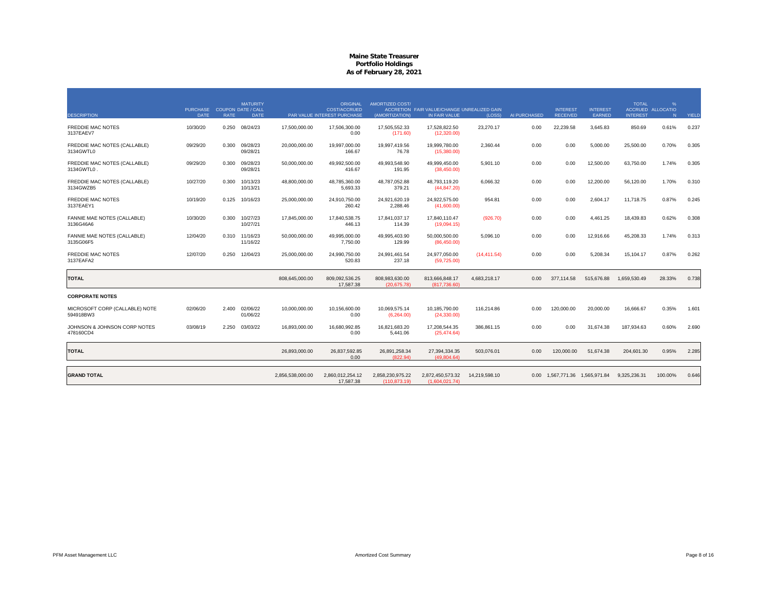|                                             | PURCHASE COUPON DATE / CALL |       | <b>MATURITY</b>            |                  | ORIGINAL<br><b>COST/ACCRUED</b> | <b>AMORTIZED COST/</b>           | ACCRETION FAIR VALUE/CHANGE UNREALIZED GAIN |               |              | <b>INTEREST</b>           | <b>INTEREST</b> | <b>TOTAL</b>    | %<br>ACCRUED ALLOCATIO |       |
|---------------------------------------------|-----------------------------|-------|----------------------------|------------------|---------------------------------|----------------------------------|---------------------------------------------|---------------|--------------|---------------------------|-----------------|-----------------|------------------------|-------|
| <b>DESCRIPTION</b>                          | <b>DATE</b>                 | RATE  | <b>DATE</b>                |                  | PAR VALUE INTEREST PURCHASE     | (AMORTIZATION)                   | IN FAIR VALUE                               | (LOSS)        | AI PURCHASED | <b>RECEIVED</b>           | <b>EARNED</b>   | <b>INTEREST</b> | N                      | YIELD |
| <b>FREDDIE MAC NOTES</b><br>3137EAEV7       | 10/30/20                    | 0.250 | 08/24/23                   | 17,500,000.00    | 17,506,300.00<br>0.00           | 17,505,552.33<br>(171.60)        | 17,528,822.50<br>(12,320.00)                | 23,270.17     | 0.00         | 22,239.58                 | 3,645.83        | 850.69          | 0.61%                  | 0.237 |
| FREDDIE MAC NOTES (CALLABLE)<br>3134GWTL0   | 09/29/20                    | 0.300 | 09/28/23<br>09/28/21       | 20,000,000.00    | 19,997,000.00<br>166.67         | 19,997,419.56<br>76.78           | 19,999,780.00<br>(15,380.00)                | 2,360.44      | 0.00         | 0.00                      | 5,000.00        | 25,500.00       | 0.70%                  | 0.305 |
| FREDDIE MAC NOTES (CALLABLE)<br>3134GWTL0   | 09/29/20                    | 0.300 | 09/28/23<br>09/28/21       | 50,000,000.00    | 49.992.500.00<br>416.67         | 49.993.548.90<br>191.95          | 49.999.450.00<br>(38, 450.00)               | 5.901.10      | 0.00         | 0.00                      | 12,500.00       | 63.750.00       | 1.74%                  | 0.305 |
| FREDDIE MAC NOTES (CALLABLE)<br>3134GWZB5   | 10/27/20                    | 0.300 | 10/13/23<br>10/13/21       | 48,800,000.00    | 48,785,360.00<br>5,693.33       | 48,787,052.88<br>379.21          | 48,793,119.20<br>(44, 847.20)               | 6,066.32      | 0.00         | 0.00                      | 12,200.00       | 56,120.00       | 1.70%                  | 0.310 |
| <b>FREDDIE MAC NOTES</b><br>3137EAEY1       | 10/19/20                    | 0.125 | 10/16/23                   | 25,000,000.00    | 24.910.750.00<br>260.42         | 24,921,620.19<br>2,288.46        | 24.922.575.00<br>(41,600.00)                | 954.81        | 0.00         | 0.00                      | 2.604.17        | 11.718.75       | 0.87%                  | 0.245 |
| FANNIE MAE NOTES (CALLABLE)<br>3136G46A6    | 10/30/20                    | 0.300 | 10/27/23<br>10/27/21       | 17,845,000.00    | 17,840,538.75<br>446.13         | 17.841.037.17<br>114.39          | 17.840.110.47<br>(19,094.15)                | (926.70)      | 0.00         | 0.00                      | 4.461.25        | 18,439.83       | 0.62%                  | 0.308 |
| FANNIE MAE NOTES (CALLABLE)<br>3135G06F5    | 12/04/20                    |       | 0.310 11/16/23<br>11/16/22 | 50,000,000.00    | 49.995.000.00<br>7,750.00       | 49,995,403.90<br>129.99          | 50.000.500.00<br>(86, 450.00)               | 5.096.10      | 0.00         | 0.00                      | 12,916.66       | 45,208.33       | 1.74%                  | 0.313 |
| FREDDIE MAC NOTES<br>3137EAFA2              | 12/07/20                    | 0.250 | 12/04/23                   | 25,000,000.00    | 24,990,750.00<br>520.83         | 24,991,461.54<br>237.18          | 24,977,050.00<br>(59, 725.00)               | (14, 411.54)  | 0.00         | 0.00                      | 5,208.34        | 15,104.17       | 0.87%                  | 0.262 |
| <b>TOTAL</b>                                |                             |       |                            | 808,645,000.00   | 809,092,536.25<br>17.587.38     | 808,983,630.00<br>(20.675.78)    | 813,666,848.17<br>(817.736.60)              | 4,683,218.17  | 0.00         | 377.114.58                | 515,676.88      | 1,659,530.49    | 28.33%                 | 0.738 |
| <b>CORPORATE NOTES</b>                      |                             |       |                            |                  |                                 |                                  |                                             |               |              |                           |                 |                 |                        |       |
| MICROSOFT CORP (CALLABLE) NOTE<br>594918BW3 | 02/06/20                    | 2.400 | 02/06/22<br>01/06/22       | 10,000,000.00    | 10,156,600.00<br>0.00           | 10,069,575.14<br>(6,264.00)      | 10,185,790.00<br>(24, 330.00)               | 116.214.86    | 0.00         | 120,000.00                | 20,000.00       | 16,666.67       | 0.35%                  | 1.601 |
| JOHNSON & JOHNSON CORP NOTES<br>478160CD4   | 03/08/19                    | 2.250 | 03/03/22                   | 16,893,000.00    | 16,680,992.85<br>0.00           | 16,821,683.20<br>5.441.06        | 17,208,544.35<br>(25, 474.64)               | 386,861.15    | 0.00         | 0.00                      | 31,674.38       | 187,934.63      | 0.60%                  | 2.690 |
| <b>TOTAL</b>                                |                             |       |                            | 26,893,000.00    | 26,837,592.85<br>0.00           | 26,891,258.34<br>(822.94)        | 27,394,334.35<br>(49.804.64)                | 503,076.01    | 0.00         | 120,000.00                | 51,674.38       | 204,601.30      | 0.95%                  | 2.285 |
| <b>GRAND TOTAL</b>                          |                             |       |                            | 2,856,538,000.00 | 2,860,012,254.12<br>17.587.38   | 2,858,230,975.22<br>(110.873.19) | 2,872,450,573.32<br>(1,604,021.74)          | 14.219.598.10 | 0.00         | 1.567.771.36 1.565.971.84 |                 | 9.325.236.31    | 100.00%                | 0.646 |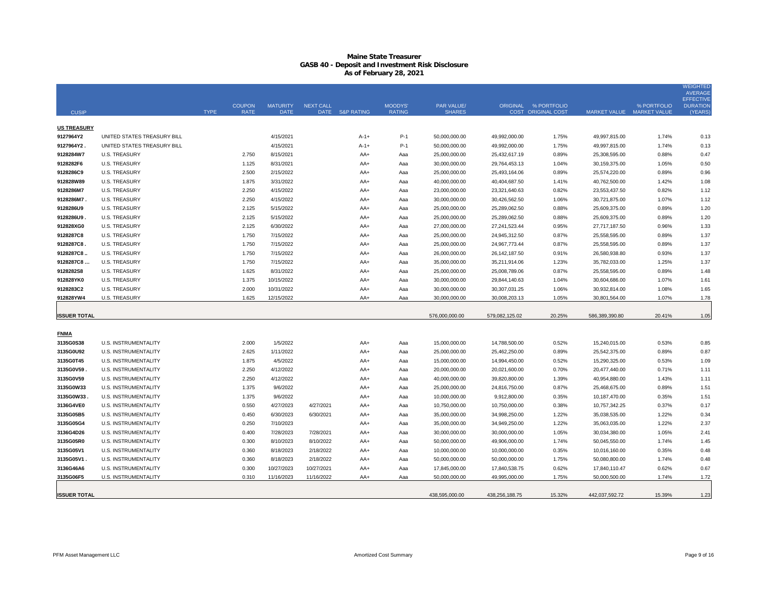|                     |                             |             |               |                 |                  |                 |               |                |                 |                      |                           |             | <b>WEIGHTED</b><br><b>AVERAGE</b>  |
|---------------------|-----------------------------|-------------|---------------|-----------------|------------------|-----------------|---------------|----------------|-----------------|----------------------|---------------------------|-------------|------------------------------------|
|                     |                             |             | <b>COUPON</b> | <b>MATURITY</b> | <b>NEXT CALL</b> |                 | <b>MOODYS</b> | PAR VALUE/     |                 | ORIGINAL % PORTFOLIO |                           | % PORTFOLIO | <b>EFFECTIV</b><br><b>DURATION</b> |
| <b>CUSIP</b>        |                             | <b>TYPE</b> | <b>RATE</b>   | <b>DATE</b>     |                  | DATE S&P RATING | <b>RATING</b> | <b>SHARES</b>  |                 | COST ORIGINAL COST   | MARKET VALUE MARKET VALUE |             | (YEARS                             |
| <b>US TREASURY</b>  |                             |             |               |                 |                  |                 |               |                |                 |                      |                           |             |                                    |
| 9127964Y2           | UNITED STATES TREASURY BILL |             |               | 4/15/2021       |                  | $A - 1 +$       | $P-1$         | 50,000,000.00  | 49,992,000.00   | 1.75%                | 49,997,815.00             | 1.74%       | 0.13                               |
| 9127964Y2.          | UNITED STATES TREASURY BILL |             |               | 4/15/2021       |                  | $A - 1 +$       | $P-1$         | 50,000,000.00  | 49,992,000.00   | 1.75%                | 49,997,815.00             | 1.74%       | 0.13                               |
| 9128284W7           | <b>U.S. TREASURY</b>        |             | 2.750         | 8/15/2021       |                  | AA+             | Aaa           | 25,000,000.00  | 25,432,617.19   | 0.89%                | 25,308,595.00             | 0.88%       | 0.47                               |
| 9128282F6           | <b>U.S. TREASURY</b>        |             | 1.125         | 8/31/2021       |                  | AA+             | Aaa           | 30,000,000.00  | 29,764,453.13   | 1.04%                | 30,159,375.00             | 1.05%       | 0.50                               |
| 9128286C9           | <b>U.S. TREASURY</b>        |             | 2.500         | 2/15/2022       |                  | AA+             | Aaa           | 25,000,000.00  | 25.493.164.06   | 0.89%                | 25,574,220.00             | 0.89%       | 0.96                               |
| 912828W89           | <b>U.S. TREASURY</b>        |             | 1.875         | 3/31/2022       |                  | AA+             | Aaa           | 40,000,000.00  | 40,404,687.50   | 1.41%                | 40,762,500.00             | 1.42%       | 1.08                               |
| 9128286M7           | <b>U.S. TREASURY</b>        |             | 2.250         | 4/15/2022       |                  | AA+             | Aaa           | 23,000,000.00  | 23,321,640.63   | 0.82%                | 23,553,437.50             | 0.82%       | 1.12                               |
| 9128286M7.          | <b>U.S. TREASURY</b>        |             | 2.250         | 4/15/2022       |                  | AA+             | Aaa           | 30,000,000.00  | 30,426,562.50   | 1.06%                | 30,721,875.00             | 1.07%       | 1.12                               |
| 9128286U9           | <b>U.S. TREASURY</b>        |             | 2.125         | 5/15/2022       |                  | AA+             | Aaa           | 25,000,000.00  | 25,289,062.50   | 0.88%                | 25,609,375.00             | 0.89%       | 1.20                               |
| 9128286U9           | <b>U.S. TREASURY</b>        |             | 2.125         | 5/15/2022       |                  | AA+             | Aaa           | 25,000,000.00  | 25,289,062.50   | 0.88%                | 25,609,375.00             | 0.89%       | 1.20                               |
| 912828XG0           | <b>U.S. TREASURY</b>        |             | 2.125         | 6/30/2022       |                  | AA+             | Aaa           | 27,000,000.00  | 27,241,523.44   | 0.95%                | 27,717,187.50             | 0.96%       | 1.33                               |
| 9128287C8           | <b>U.S. TREASURY</b>        |             | 1.750         | 7/15/2022       |                  | AA+             | Aaa           | 25,000,000.00  | 24,945,312.50   | 0.87%                | 25,558,595.00             | 0.89%       | 1.37                               |
| 9128287C8.          | <b>U.S. TREASURY</b>        |             | 1.750         | 7/15/2022       |                  | AA+             | Aaa           | 25,000,000.00  | 24,967,773.44   | 0.87%                | 25,558,595.00             | 0.89%       | 1.37                               |
| 9128287C8           | <b>U.S. TREASURY</b>        |             | 1.750         | 7/15/2022       |                  | AA+             | Aaa           | 26,000,000.00  | 26, 142, 187.50 | 0.91%                | 26,580,938.80             | 0.93%       | 1.37                               |
| 9128287C8           | <b>U.S. TREASURY</b>        |             | 1.750         | 7/15/2022       |                  | AA+             | Aaa           | 35,000,000.00  | 35.211.914.06   | 1.23%                | 35,782,033.00             | 1.25%       | 1.37                               |
| 9128282S8           | <b>U.S. TREASURY</b>        |             | 1.625         | 8/31/2022       |                  | AA+             | Aaa           | 25,000,000.00  | 25,008,789.06   | 0.87%                | 25,558,595.00             | 0.89%       | 1.48                               |
| 912828YK0           | <b>U.S. TREASURY</b>        |             | 1.375         | 10/15/2022      |                  | AA+             | Aaa           | 30,000,000.00  | 29,844,140.63   | 1.04%                | 30,604,686.00             | 1.07%       | 1.61                               |
| 9128283C2           | <b>U.S. TREASURY</b>        |             | 2.000         | 10/31/2022      |                  | AA+             | Aaa           | 30,000,000.00  | 30,307,031.25   | 1.06%                | 30,932,814.00             | 1.08%       | 1.65                               |
| 912828YW4           | <b>U.S. TREASURY</b>        |             | 1.625         | 12/15/2022      |                  | AA+             | Aaa           | 30,000,000.00  | 30,008,203.13   | 1.05%                | 30,801,564.00             | 1.07%       | 1.78                               |
|                     |                             |             |               |                 |                  |                 |               |                |                 |                      |                           |             |                                    |
| <b>ISSUER TOTAL</b> |                             |             |               |                 |                  |                 |               | 576,000,000.00 | 579,082,125.02  | 20.25%               | 586,389,390.80            | 20.41%      | 1.05                               |
| <b>FNMA</b>         |                             |             |               |                 |                  |                 |               |                |                 |                      |                           |             |                                    |
| 3135G0S38           | U.S. INSTRUMENTALITY        |             | 2.000         | 1/5/2022        |                  | AA+             | Aaa           | 15,000,000.00  | 14,788,500.00   | 0.52%                | 15,240,015.00             | 0.53%       | 0.85                               |
| 3135G0U92           | U.S. INSTRUMENTALITY        |             | 2.625         | 1/11/2022       |                  | AA+             | Aaa           | 25,000,000.00  | 25,462,250.00   | 0.89%                | 25,542,375.00             | 0.89%       | 0.87                               |
| 3135G0T45           | U.S. INSTRUMENTALITY        |             | 1.875         | 4/5/2022        |                  | AA+             | Aaa           | 15,000,000.00  | 14,994,450.00   | 0.52%                | 15,290,325.00             | 0.53%       | 1.09                               |
| 3135G0V59.          | U.S. INSTRUMENTALITY        |             | 2.250         | 4/12/2022       |                  | AA+             | Aaa           | 20,000,000.00  | 20,021,600.00   | 0.70%                | 20,477,440.00             | 0.71%       | 1.11                               |
| 3135G0V59           | U.S. INSTRUMENTALITY        |             | 2.250         | 4/12/2022       |                  | AA+             | Aaa           | 40,000,000.00  | 39,820,800.00   | 1.39%                | 40,954,880.00             | 1.43%       | 1.11                               |
| 3135G0W33           | U.S. INSTRUMENTALITY        |             | 1.375         | 9/6/2022        |                  | AA+             | Aaa           | 25,000,000.00  | 24,816,750.00   | 0.87%                | 25,468,675.00             | 0.89%       | 1.51                               |
| 3135G0W33           | U.S. INSTRUMENTALITY        |             | 1.375         | 9/6/2022        |                  | AA+             | Aaa           | 10,000,000.00  | 9,912,800.00    | 0.35%                | 10,187,470.00             | 0.35%       | 1.51                               |
| 3136G4VE0           | U.S. INSTRUMENTALITY        |             | 0.550         | 4/27/2023       | 4/27/2021        | AA+             | Aaa           | 10,750,000.00  | 10,750,000.00   | 0.38%                | 10,757,342.25             | 0.37%       | 0.17                               |
| 3135G05B5           | U.S. INSTRUMENTALITY        |             | 0.450         | 6/30/2023       | 6/30/2021        | AA+             | Aaa           | 35,000,000.00  | 34,998,250.00   | 1.22%                | 35,038,535.00             | 1.22%       | 0.34                               |
| 3135G05G4           | U.S. INSTRUMENTALITY        |             | 0.250         | 7/10/2023       |                  | AA+             | Aaa           | 35,000,000.00  | 34,949,250.00   | 1.22%                | 35,063,035.00             | 1.22%       | 2.37                               |
| 3136G4D26           | U.S. INSTRUMENTALITY        |             | 0.400         | 7/28/2023       | 7/28/2021        | AA+             | Aaa           | 30,000,000.00  | 30,000,000.00   | 1.05%                | 30,034,380.00             | 1.05%       | 2.41                               |
| 3135G05R0           | U.S. INSTRUMENTALITY        |             | 0.300         | 8/10/2023       | 8/10/2022        | AA+             | Aaa           | 50,000,000.00  | 49,906,000.00   | 1.74%                | 50,045,550.00             | 1.74%       | 1.45                               |
| 3135G05V1           | U.S. INSTRUMENTALITY        |             | 0.360         | 8/18/2023       | 2/18/2022        | AA+             | Aaa           | 10,000,000.00  | 10,000,000.00   | 0.35%                | 10,016,160.00             | 0.35%       | 0.48                               |
| 3135G05V1.          | U.S. INSTRUMENTALITY        |             | 0.360         | 8/18/2023       | 2/18/2022        | AA+             | Aaa           | 50,000,000.00  | 50,000,000.00   | 1.75%                | 50,080,800.00             | 1.74%       | 0.48                               |
| 3136G46A6           | U.S. INSTRUMENTALITY        |             | 0.300         | 10/27/2023      | 10/27/2021       | AA+             | Aaa           | 17,845,000.00  | 17,840,538.75   | 0.62%                | 17,840,110.47             | 0.62%       | 0.67                               |
| 3135G06F5           | U.S. INSTRUMENTALITY        |             | 0.310         | 11/16/2023      | 11/16/2022       | AA+             | Aaa           | 50,000,000.00  | 49,995,000.00   | 1.75%                | 50,000,500.00             | 1.74%       | 1.72                               |
|                     |                             |             |               |                 |                  |                 |               |                |                 |                      |                           |             |                                    |
| <b>ISSUER TOTAL</b> |                             |             |               |                 |                  |                 |               | 438,595,000.00 | 438,256,188.75  | 15.32%               | 442,037,592.72            | 15.39%      | 1.23                               |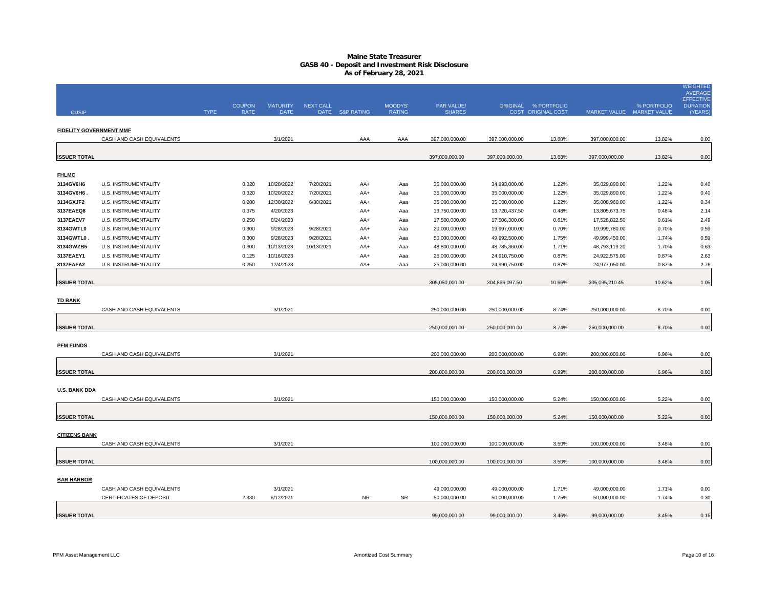|                                |                                              |             |                              |                                |                  |                 |                          |                                |                                |                                            |                                |                | <b>WEIGHTED</b><br><b>AVERAGE</b><br><b>EFFECTIVE</b> |
|--------------------------------|----------------------------------------------|-------------|------------------------------|--------------------------------|------------------|-----------------|--------------------------|--------------------------------|--------------------------------|--------------------------------------------|--------------------------------|----------------|-------------------------------------------------------|
| <b>CUSIP</b>                   |                                              | <b>TYPE</b> | <b>COUPON</b><br><b>RATE</b> | <b>MATURITY</b><br><b>DATE</b> | <b>NEXT CALL</b> | DATE S&P RATING | MOODYS'<br><b>RATING</b> | PAR VALUE/<br><b>SHARES</b>    |                                | ORIGINAL % PORTFOLIO<br>COST ORIGINAL COST | MARKET VALUE MARKET VALUE      | % PORTFOLIO    | <b>DURATION</b><br>(YEARS)                            |
| <b>FIDELITY GOVERNMENT MMF</b> | CASH AND CASH EQUIVALENTS                    |             |                              | 3/1/2021                       |                  | AAA             | AAA                      | 397,000,000.00                 | 397,000,000.00                 | 13.88%                                     | 397,000,000.00                 | 13.82%         | 0.00                                                  |
| <b>ISSUER TOTAL</b>            |                                              |             |                              |                                |                  |                 |                          | 397,000,000.00                 | 397,000,000.00                 | 13.88%                                     | 397,000,000.00                 | 13.82%         | 0.00                                                  |
|                                |                                              |             |                              |                                |                  |                 |                          |                                |                                |                                            |                                |                |                                                       |
| <b>FHLMC</b>                   |                                              |             |                              |                                |                  |                 |                          |                                |                                |                                            |                                |                |                                                       |
| 3134GV6H6                      | U.S. INSTRUMENTALITY                         |             | 0.320                        | 10/20/2022                     | 7/20/2021        | AA+             | Aaa                      | 35,000,000.00                  | 34,993,000.00                  | 1.22%                                      | 35,029,890.00                  | 1.22%          | 0.40                                                  |
| 3134GV6H6.                     | U.S. INSTRUMENTALITY                         |             | 0.320                        | 10/20/2022                     | 7/20/2021        | AA+             | Aaa                      | 35,000,000.00                  | 35,000,000.00                  | 1.22%                                      | 35,029,890.00                  | 1.22%          | 0.40                                                  |
| 3134GXJF2<br>3137EAEQ8         | U.S. INSTRUMENTALITY<br>U.S. INSTRUMENTALITY |             | 0.200<br>0.375               | 12/30/2022<br>4/20/2023        | 6/30/2021        | AA+<br>AA+      | Aaa<br>Aaa               | 35,000,000.00<br>13,750,000.00 | 35,000,000.00<br>13,720,437.50 | 1.22%<br>0.48%                             | 35,008,960.00<br>13,805,673.75 | 1.22%<br>0.48% | 0.34<br>2.14                                          |
| 3137EAEV7                      | U.S. INSTRUMENTALITY                         |             | 0.250                        | 8/24/2023                      |                  | AA+             | Aaa                      | 17,500,000.00                  | 17,506,300.00                  | 0.61%                                      | 17,528,822.50                  | 0.61%          | 2.49                                                  |
| 3134GWTL0                      | U.S. INSTRUMENTALITY                         |             | 0.300                        | 9/28/2023                      | 9/28/2021        | AA+             | Aaa                      | 20,000,000.00                  | 19,997,000.00                  | 0.70%                                      | 19,999,780.00                  | 0.70%          | 0.59                                                  |
| 3134GWTL0                      | U.S. INSTRUMENTALITY                         |             | 0.300                        | 9/28/2023                      | 9/28/2021        | AA+             | Aaa                      | 50,000,000.00                  | 49,992,500.00                  | 1.75%                                      | 49,999,450.00                  | 1.74%          | 0.59                                                  |
| 3134GWZB5                      | U.S. INSTRUMENTALITY                         |             | 0.300                        | 10/13/2023                     | 10/13/2021       | AA+             | Aaa                      | 48,800,000.00                  | 48,785,360.00                  | 1.71%                                      | 48,793,119.20                  | 1.70%          | 0.63                                                  |
| 3137EAEY1                      | U.S. INSTRUMENTALITY                         |             | 0.125                        | 10/16/2023                     |                  | AA+             | Aaa                      | 25,000,000.00                  | 24,910,750.00                  | 0.87%                                      | 24,922,575.00                  | 0.87%          | 2.63                                                  |
| 3137EAFA2                      | U.S. INSTRUMENTALITY                         |             | 0.250                        | 12/4/2023                      |                  | AA+             | Aaa                      | 25,000,000.00                  | 24,990,750.00                  | 0.87%                                      | 24,977,050.00                  | 0.87%          | 2.76                                                  |
| <b>ISSUER TOTAL</b>            |                                              |             |                              |                                |                  |                 |                          | 305,050,000.00                 | 304,896,097.50                 | 10.66%                                     | 305,095,210.45                 | 10.62%         | 1.05                                                  |
|                                |                                              |             |                              |                                |                  |                 |                          |                                |                                |                                            |                                |                |                                                       |
| <b>TD BANK</b>                 | CASH AND CASH EQUIVALENTS                    |             |                              | 3/1/2021                       |                  |                 |                          | 250,000,000.00                 | 250,000,000.00                 | 8.74%                                      | 250,000,000.00                 | 8.70%          | 0.00                                                  |
| <b>ISSUER TOTAL</b>            |                                              |             |                              |                                |                  |                 |                          | 250,000,000.00                 | 250,000,000.00                 | 8.74%                                      | 250,000,000.00                 | 8.70%          | 0.00                                                  |
| <b>PFM FUNDS</b>               |                                              |             |                              |                                |                  |                 |                          |                                |                                |                                            |                                |                |                                                       |
|                                | CASH AND CASH EQUIVALENTS                    |             |                              | 3/1/2021                       |                  |                 |                          | 200,000,000.00                 | 200,000,000.00                 | 6.99%                                      | 200,000,000.00                 | 6.96%          | 0.00                                                  |
| <b>ISSUER TOTAL</b>            |                                              |             |                              |                                |                  |                 |                          | 200,000,000.00                 | 200,000,000.00                 | 6.99%                                      | 200,000,000.00                 | 6.96%          | 0.00                                                  |
|                                |                                              |             |                              |                                |                  |                 |                          |                                |                                |                                            |                                |                |                                                       |
| <b>U.S. BANK DDA</b>           | CASH AND CASH EQUIVALENTS                    |             |                              | 3/1/2021                       |                  |                 |                          | 150,000,000.00                 | 150,000,000.00                 | 5.24%                                      | 150,000,000.00                 | 5.22%          | 0.00                                                  |
| <b>ISSUER TOTAL</b>            |                                              |             |                              |                                |                  |                 |                          | 150,000,000.00                 | 150,000,000.00                 | 5.24%                                      | 150,000,000.00                 | 5.22%          | 0.00                                                  |
|                                |                                              |             |                              |                                |                  |                 |                          |                                |                                |                                            |                                |                |                                                       |
| <b>CITIZENS BANK</b>           | CASH AND CASH EQUIVALENTS                    |             |                              | 3/1/2021                       |                  |                 |                          | 100,000,000.00                 | 100,000,000.00                 | 3.50%                                      | 100,000,000.00                 | 3.48%          | 0.00                                                  |
| <b>ISSUER TOTAL</b>            |                                              |             |                              |                                |                  |                 |                          | 100,000,000.00                 | 100,000,000.00                 | 3.50%                                      | 100,000,000.00                 | 3.48%          | 0.00                                                  |
| <b>BAR HARBOR</b>              |                                              |             |                              |                                |                  |                 |                          |                                |                                |                                            |                                |                |                                                       |
|                                | CASH AND CASH EQUIVALENTS                    |             |                              | 3/1/2021                       |                  |                 |                          | 49,000,000.00                  | 49,000,000.00                  | 1.71%                                      | 49,000,000.00                  | 1.71%          | 0.00                                                  |
|                                | CERTIFICATES OF DEPOSIT                      |             | 2.330                        | 6/12/2021                      |                  | <b>NR</b>       | <b>NR</b>                | 50,000,000.00                  | 50,000,000.00                  | 1.75%                                      | 50,000,000.00                  | 1.74%          | 0.30                                                  |
|                                |                                              |             |                              |                                |                  |                 |                          |                                |                                |                                            |                                |                |                                                       |
| <b>ISSUER TOTAL</b>            |                                              |             |                              |                                |                  |                 |                          | 99.000.000.00                  | 99.000.000.00                  | 3.46%                                      | 99.000.000.00                  | 3.45%          | 0.15                                                  |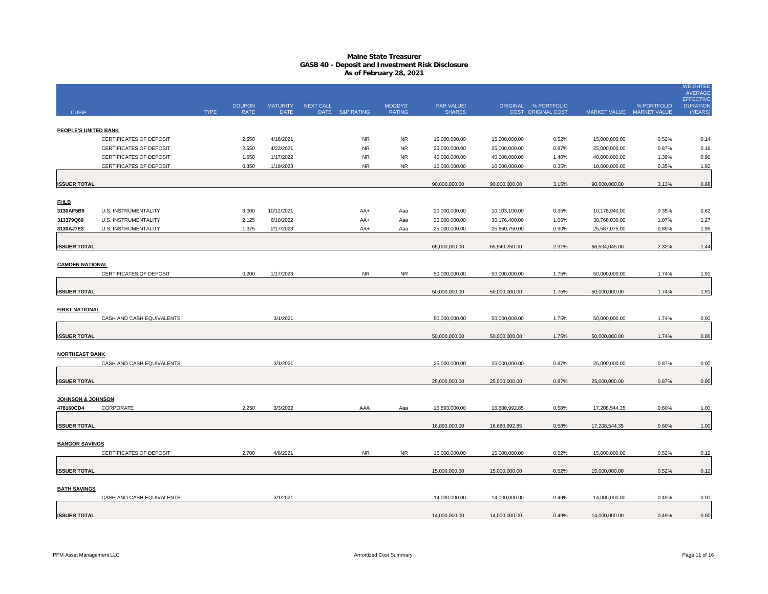|                              |                                              |             |                              |                                |           |                 |                          |                                |                                |                                            |                                |                                          | <b>WEIGHTED</b><br><b>AVERAGE</b><br><b>EFFECTIVE</b> |
|------------------------------|----------------------------------------------|-------------|------------------------------|--------------------------------|-----------|-----------------|--------------------------|--------------------------------|--------------------------------|--------------------------------------------|--------------------------------|------------------------------------------|-------------------------------------------------------|
| <b>CUSIP</b>                 |                                              | <b>TYPE</b> | <b>COUPON</b><br><b>RATE</b> | <b>MATURITY</b><br><b>DATE</b> | NEXT CALL | DATE S&P RATING | MOODYS'<br><b>RATING</b> | PAR VALUE/<br><b>SHARES</b>    |                                | ORIGINAL % PORTFOLIO<br>COST ORIGINAL COST |                                | % PORTFOLIO<br>MARKET VALUE MARKET VALUE | <b>DURATION</b><br>(YEARS)                            |
| PEOPLE'S UNITED BANK         |                                              |             |                              |                                |           |                 |                          |                                |                                |                                            |                                |                                          |                                                       |
|                              | CERTIFICATES OF DEPOSIT                      |             | 2.550                        | 4/18/2021                      |           | <b>NR</b>       | <b>NR</b>                | 15,000,000.00                  | 15,000,000.00                  | 0.52%                                      | 15,000,000.00                  | 0.52%                                    | 0.14                                                  |
|                              | CERTIFICATES OF DEPOSIT                      |             | 2.550                        | 4/22/2021                      |           | <b>NR</b>       | <b>NR</b>                | 25,000,000.00                  | 25,000,000.00                  | 0.87%                                      | 25,000,000.00                  | 0.87%                                    | 0.16                                                  |
|                              | CERTIFICATES OF DEPOSIT                      |             | 1.650                        | 1/17/2022                      |           | <b>NR</b>       | <b>NR</b>                | 40,000,000.00                  | 40,000,000.00                  | 1.40%                                      | 40,000,000.00                  | 1.39%                                    | 0.90                                                  |
|                              | CERTIFICATES OF DEPOSIT                      |             | 0.350                        | 1/19/2023                      |           | <b>NR</b>       | <b>NR</b>                | 10,000,000.00                  | 10,000,000.00                  | 0.35%                                      | 10,000,000.00                  | 0.35%                                    | 1.92                                                  |
| <b>ISSUER TOTAL</b>          |                                              |             |                              |                                |           |                 |                          | 90,000,000.00                  | 90,000,000.00                  | 3.15%                                      | 90,000,000.00                  | 3.13%                                    | 0.68                                                  |
|                              |                                              |             |                              |                                |           |                 |                          |                                |                                |                                            |                                |                                          |                                                       |
| <b>FHLB</b>                  |                                              |             |                              |                                |           |                 |                          |                                |                                |                                            |                                |                                          |                                                       |
| 3130AF5B9                    | U.S. INSTRUMENTALITY                         |             | 3.000                        | 10/12/2021                     |           | AA+             | Aaa                      | 10,000,000.00                  | 10,103,100.00                  | 0.35%                                      | 10,178,940.00                  | 0.35%                                    | 0.62                                                  |
| 313379Q69<br>3130AJ7E3       | U.S. INSTRUMENTALITY<br>U.S. INSTRUMENTALITY |             | 2.125<br>1.375               | 6/10/2022<br>2/17/2023         |           | AA+<br>AA+      | Aaa<br>Aaa               | 30,000,000.00<br>25,000,000.00 | 30,176,400.00<br>25,660,750.00 | 1.06%<br>0.90%                             | 30,768,030.00<br>25,587,075.00 | 1.07%<br>0.89%                           | 1.27<br>1.95                                          |
|                              |                                              |             |                              |                                |           |                 |                          |                                |                                |                                            |                                |                                          |                                                       |
| <b>ISSUER TOTAL</b>          |                                              |             |                              |                                |           |                 |                          | 65,000,000.00                  | 65,940,250.00                  | 2.31%                                      | 66,534,045.00                  | 2.32%                                    | 1.44                                                  |
|                              |                                              |             |                              |                                |           |                 |                          |                                |                                |                                            |                                |                                          |                                                       |
| <b>CAMDEN NATIONAL</b>       |                                              |             |                              |                                |           |                 |                          |                                |                                |                                            |                                |                                          |                                                       |
|                              | CERTIFICATES OF DEPOSIT                      |             | 0.200                        | 1/17/2023                      |           | <b>NR</b>       | <b>NR</b>                | 50,000,000.00                  | 50,000,000.00                  | 1.75%                                      | 50,000,000.00                  | 1.74%                                    | 1.91                                                  |
|                              |                                              |             |                              |                                |           |                 |                          |                                |                                |                                            |                                |                                          |                                                       |
| <b>ISSUER TOTAL</b>          |                                              |             |                              |                                |           |                 |                          | 50,000,000.00                  | 50,000,000.00                  | 1.75%                                      | 50,000,000.00                  | 1.74%                                    | 1.91                                                  |
| <b>FIRST NATIONAL</b>        |                                              |             |                              |                                |           |                 |                          |                                |                                |                                            |                                |                                          |                                                       |
|                              | CASH AND CASH EQUIVALENTS                    |             |                              | 3/1/2021                       |           |                 |                          | 50,000,000.00                  | 50,000,000.00                  | 1.75%                                      | 50,000,000.00                  | 1.74%                                    | 0.00                                                  |
|                              |                                              |             |                              |                                |           |                 |                          |                                |                                |                                            |                                |                                          |                                                       |
| <b>ISSUER TOTAL</b>          |                                              |             |                              |                                |           |                 |                          | 50,000,000.00                  | 50,000,000.00                  | 1.75%                                      | 50,000,000.00                  | 1.74%                                    | 0.00                                                  |
|                              |                                              |             |                              |                                |           |                 |                          |                                |                                |                                            |                                |                                          |                                                       |
| <b>NORTHEAST BANK</b>        |                                              |             |                              |                                |           |                 |                          |                                |                                |                                            |                                |                                          |                                                       |
|                              | CASH AND CASH EQUIVALENTS                    |             |                              | 3/1/2021                       |           |                 |                          | 25,000,000.00                  | 25,000,000.00                  | 0.87%                                      | 25,000,000.00                  | 0.87%                                    | 0.00                                                  |
|                              |                                              |             |                              |                                |           |                 |                          |                                |                                |                                            |                                |                                          |                                                       |
| <b>ISSUER TOTAL</b>          |                                              |             |                              |                                |           |                 |                          | 25,000,000.00                  | 25,000,000.00                  | 0.87%                                      | 25,000,000.00                  | 0.87%                                    | 0.00                                                  |
| <b>JOHNSON &amp; JOHNSON</b> |                                              |             |                              |                                |           |                 |                          |                                |                                |                                            |                                |                                          |                                                       |
| 478160CD4                    | CORPORATE                                    |             | 2.250                        | 3/3/2022                       |           | AAA             | Aaa                      | 16,893,000.00                  | 16,680,992.85                  | 0.58%                                      | 17,208,544.35                  | 0.60%                                    | 1.00                                                  |
|                              |                                              |             |                              |                                |           |                 |                          |                                |                                |                                            |                                |                                          |                                                       |
| <b>ISSUER TOTAL</b>          |                                              |             |                              |                                |           |                 |                          | 16,893,000.00                  | 16,680,992.85                  | 0.58%                                      | 17,208,544.35                  | 0.60%                                    | 1.00                                                  |
|                              |                                              |             |                              |                                |           |                 |                          |                                |                                |                                            |                                |                                          |                                                       |
| <b>BANGOR SAVINGS</b>        |                                              |             |                              |                                |           |                 |                          |                                |                                |                                            |                                |                                          |                                                       |
|                              | CERTIFICATES OF DEPOSIT                      |             | 2.700                        | 4/8/2021                       |           | <b>NR</b>       | NR.                      | 15,000,000.00                  | 15,000,000.00                  | 0.52%                                      | 15,000,000.00                  | 0.52%                                    | 0.12                                                  |
| <b>ISSUER TOTAL</b>          |                                              |             |                              |                                |           |                 |                          | 15.000.000.00                  | 15.000.000.00                  | 0.52%                                      | 15,000,000.00                  | 0.52%                                    | 0.12                                                  |
|                              |                                              |             |                              |                                |           |                 |                          |                                |                                |                                            |                                |                                          |                                                       |
| <b>BATH SAVINGS</b>          |                                              |             |                              |                                |           |                 |                          |                                |                                |                                            |                                |                                          |                                                       |
|                              | CASH AND CASH EQUIVALENTS                    |             |                              | 3/1/2021                       |           |                 |                          | 14,000,000.00                  | 14,000,000.00                  | 0.49%                                      | 14,000,000.00                  | 0.49%                                    | 0.00                                                  |
|                              |                                              |             |                              |                                |           |                 |                          |                                |                                |                                            |                                |                                          |                                                       |
| <b>ISSUER TOTAL</b>          |                                              |             |                              |                                |           |                 |                          | 14,000,000.00                  | 14,000,000.00                  | 0.49%                                      | 14,000,000.00                  | 0.49%                                    | 0.00                                                  |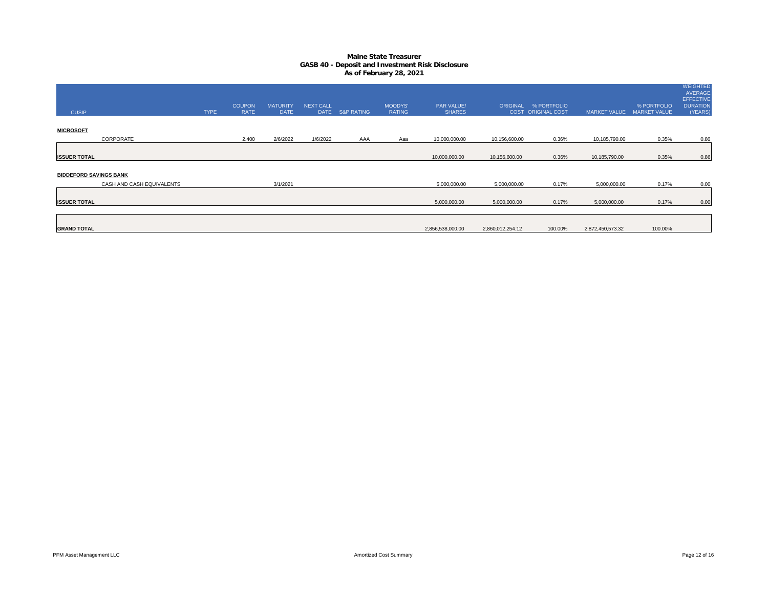| <b>CUSIP</b>                  |                           | <b>TYPE</b> | <b>COUPON</b><br><b>RATE</b> | <b>MATURITY</b><br><b>DATE</b> | <b>NEXT CALL</b><br><b>DATE</b> | <b>S&amp;P RATING</b> | <b>MOODYS'</b><br><b>RATING</b> | PAR VALUE/<br><b>SHARES</b> |                  | ORIGINAL % PORTFOLIO<br>COST ORIGINAL COST | <b>MARKET VALUE</b> | % PORTFOLIO<br><b>MARKET VALUE</b> | <b>WEIGHTED</b><br><b>AVERAGE</b><br><b>EFFECTIVE</b><br><b>DURATION</b><br>(YEARS) |
|-------------------------------|---------------------------|-------------|------------------------------|--------------------------------|---------------------------------|-----------------------|---------------------------------|-----------------------------|------------------|--------------------------------------------|---------------------|------------------------------------|-------------------------------------------------------------------------------------|
|                               |                           |             |                              |                                |                                 |                       |                                 |                             |                  |                                            |                     |                                    |                                                                                     |
| <b>MICROSOFT</b>              |                           |             |                              |                                |                                 |                       |                                 |                             |                  |                                            |                     |                                    |                                                                                     |
|                               | CORPORATE                 |             | 2.400                        | 2/6/2022                       | 1/6/2022                        | AAA                   | Aaa                             | 10,000,000.00               | 10,156,600.00    | 0.36%                                      | 10,185,790.00       | 0.35%                              | 0.86                                                                                |
| <b>ISSUER TOTAL</b>           |                           |             |                              |                                |                                 |                       |                                 | 10,000,000.00               | 10,156,600.00    | 0.36%                                      | 10,185,790.00       | 0.35%                              | 0.86                                                                                |
|                               |                           |             |                              |                                |                                 |                       |                                 |                             |                  |                                            |                     |                                    |                                                                                     |
| <b>BIDDEFORD SAVINGS BANK</b> |                           |             |                              |                                |                                 |                       |                                 |                             |                  |                                            |                     |                                    |                                                                                     |
|                               | CASH AND CASH EQUIVALENTS |             |                              | 3/1/2021                       |                                 |                       |                                 | 5,000,000.00                | 5,000,000.00     | 0.17%                                      | 5,000,000.00        | 0.17%                              | 0.00                                                                                |
|                               |                           |             |                              |                                |                                 |                       |                                 |                             |                  |                                            |                     |                                    |                                                                                     |
| <b>ISSUER TOTAL</b>           |                           |             |                              |                                |                                 |                       |                                 | 5,000,000.00                | 5,000,000.00     | 0.17%                                      | 5,000,000.00        | 0.17%                              | 0.00                                                                                |
|                               |                           |             |                              |                                |                                 |                       |                                 |                             |                  |                                            |                     |                                    |                                                                                     |
|                               |                           |             |                              |                                |                                 |                       |                                 |                             |                  |                                            |                     |                                    |                                                                                     |
| <b>GRAND TOTAL</b>            |                           |             |                              |                                |                                 |                       |                                 | 2,856,538,000.00            | 2,860,012,254.12 | 100.00%                                    | 2,872,450,573.32    | 100.00%                            |                                                                                     |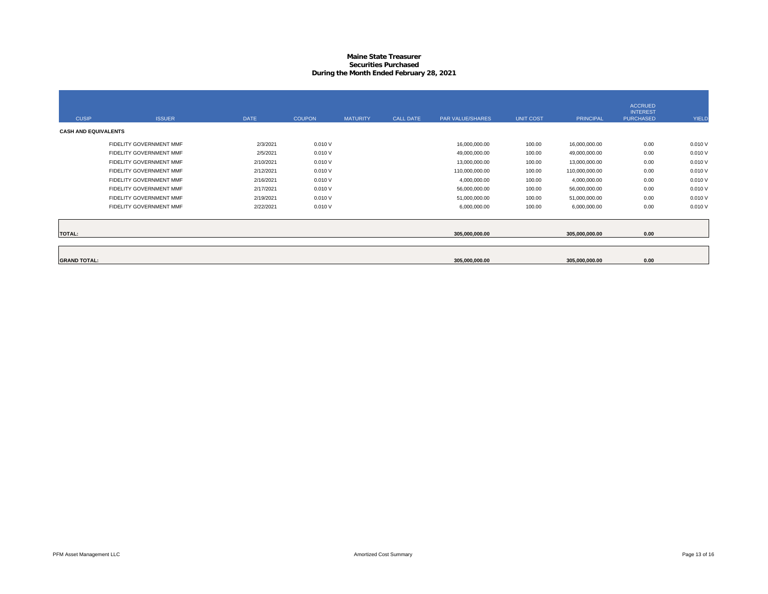### **Maine State Treasurer Securities PurchasedDuring the Month Ended February 28, 2021**

| <b>CUSIP</b>                | <b>ISSUER</b>           | <b>DATE</b> | <b>COUPON</b> | <b>MATURITY</b> | <b>CALL DATE</b> | PAR VALUE/SHARES | <b>UNIT COST</b> | <b>PRINCIPAL</b> | <b>ACCRUED</b><br><b>INTEREST</b><br><b>PURCHASED</b> | YIELD  |
|-----------------------------|-------------------------|-------------|---------------|-----------------|------------------|------------------|------------------|------------------|-------------------------------------------------------|--------|
| <b>CASH AND EQUIVALENTS</b> |                         |             |               |                 |                  |                  |                  |                  |                                                       |        |
|                             | FIDELITY GOVERNMENT MMF | 2/3/2021    | 0.010V        |                 |                  | 16,000,000.00    | 100.00           | 16,000,000.00    | 0.00                                                  | 0.010V |
|                             | FIDELITY GOVERNMENT MMF | 2/5/2021    | 0.010V        |                 |                  | 49,000,000.00    | 100.00           | 49,000,000.00    | 0.00                                                  | 0.010V |
|                             | FIDELITY GOVERNMENT MMF | 2/10/2021   | 0.010V        |                 |                  | 13,000,000.00    | 100.00           | 13,000,000.00    | 0.00                                                  | 0.010V |
|                             | FIDELITY GOVERNMENT MMF | 2/12/2021   | 0.010V        |                 |                  | 110,000,000.00   | 100.00           | 110,000,000.00   | 0.00                                                  | 0.010V |
|                             | FIDELITY GOVERNMENT MMF | 2/16/2021   | 0.010V        |                 |                  | 4,000,000.00     | 100.00           | 4,000,000.00     | 0.00                                                  | 0.010V |
|                             | FIDELITY GOVERNMENT MMF | 2/17/2021   | 0.010V        |                 |                  | 56,000,000.00    | 100.00           | 56,000,000.00    | 0.00                                                  | 0.010V |
|                             | FIDELITY GOVERNMENT MMF | 2/19/2021   | 0.010V        |                 |                  | 51,000,000.00    | 100.00           | 51,000,000.00    | 0.00                                                  | 0.010V |
|                             | FIDELITY GOVERNMENT MMF | 2/22/2021   | 0.010V        |                 |                  | 6,000,000.00     | 100.00           | 6,000,000.00     | 0.00                                                  | 0.010V |
| <b>TOTAL:</b>               |                         |             |               |                 |                  | 305,000,000.00   |                  | 305,000,000.00   | 0.00                                                  |        |
|                             |                         |             |               |                 |                  |                  |                  |                  |                                                       |        |
| <b>GRAND TOTAL:</b>         |                         |             |               |                 |                  | 305,000,000.00   |                  | 305,000,000.00   | 0.00                                                  |        |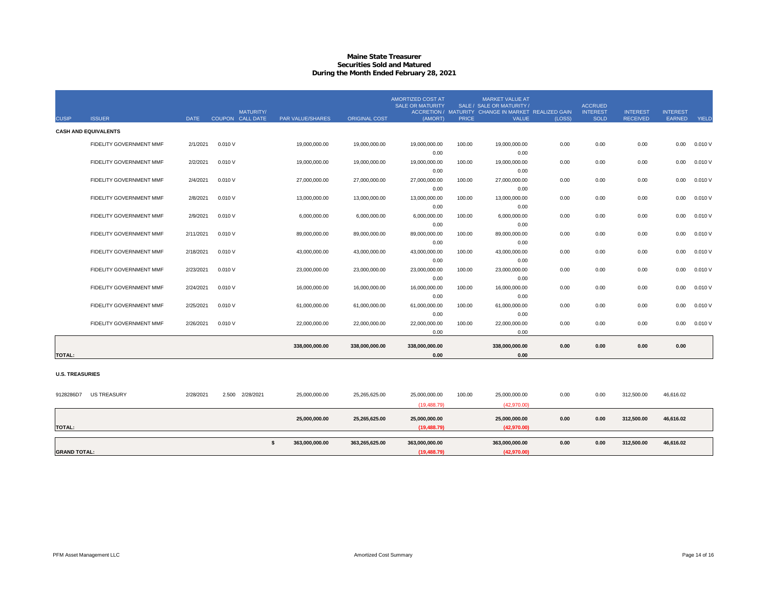### **Maine State Treasurer Securities Sold and MaturedDuring the Month Ended February 28, 2021**

| <b>MATURITY/</b><br>ACCRETION / MATURITY CHANGE IN MARKET REALIZED GAIN<br><b>INTEREST</b><br><b>INTEREST</b><br><b>INTEREST</b><br><b>CUSIP</b><br><b>ISSUER</b><br><b>DATE</b><br>COUPON CALL DATE<br>PAR VALUE/SHARES<br><b>ORIGINAL COST</b><br>(AMORT)<br><b>PRICE</b><br><b>VALUE</b><br>(LOSS)<br><b>SOLD</b><br><b>RECEIVED</b><br>EARNED<br><b>YIELD</b><br><b>CASH AND EQUIVALENTS</b><br>FIDELITY GOVERNMENT MMF<br>2/1/2021<br>0.010V<br>19,000,000.00<br>19,000,000.00<br>19,000,000.00<br>100.00<br>19,000,000.00<br>0.00<br>0.00<br>0.00<br>0.00<br>0.010V<br>0.00<br>0.00<br>FIDELITY GOVERNMENT MMF<br>2/2/2021<br>0.010V<br>19,000,000.00<br>100.00<br>19,000,000.00<br>0.00<br>19,000,000.00<br>19,000,000.00<br>0.00<br>0.00<br>0.00<br>0.010V<br>0.00<br>0.00<br>FIDELITY GOVERNMENT MMF<br>2/4/2021<br>0.010V<br>27,000,000.00<br>27,000,000.00<br>100.00<br>27,000,000.00<br>0.00<br>0.00<br>0.00<br>0.00<br>0.010V<br>27,000,000.00<br>0.00<br>0.00<br>FIDELITY GOVERNMENT MMF<br>13,000,000.00<br>2/8/2021<br>0.010V<br>13,000,000.00<br>13,000,000.00<br>100.00<br>13,000,000.00<br>0.00<br>0.00<br>0.00<br>0.00<br>0.010V<br>0.00<br>0.00<br>FIDELITY GOVERNMENT MMF<br>0.010V<br>6,000,000.00<br>6,000,000.00<br>2/9/2021<br>6,000,000.00<br>6,000,000.00<br>100.00<br>0.00<br>0.00<br>0.00<br>0.00<br>0.010V<br>0.00<br>0.00<br>89,000,000.00<br>89.000.000.00<br>FIDELITY GOVERNMENT MMF<br>2/11/2021<br>0.010V<br>89.000.000.00<br>100.00<br>0.00<br>0.00<br>0.00<br>0.00<br>0.010V<br>89.000.000.00<br>0.00<br>0.00<br>FIDELITY GOVERNMENT MMF<br>2/18/2021<br>0.010V<br>43,000,000.00<br>100.00<br>43,000,000.00<br>0.00<br>43,000,000.00<br>43,000,000.00<br>0.00<br>0.00<br>0.00<br>0.010V<br>0.00<br>0.00<br>FIDELITY GOVERNMENT MMF<br>2/23/2021<br>0.010V<br>23,000,000.00<br>23,000,000.00<br>23,000,000.00<br>100.00<br>23,000,000.00<br>0.00<br>0.00<br>0.00<br>0.00<br>0.010V<br>0.00<br>0.00<br>2/24/2021<br>16,000,000.00<br>16,000,000.00<br>0.010V<br>FIDELITY GOVERNMENT MMF<br>0.010V<br>16,000,000.00<br>100.00<br>0.00<br>0.00<br>0.00<br>0.00<br>16,000,000.00<br>0.00<br>0.00<br>61,000,000.00<br>FIDELITY GOVERNMENT MMF<br>2/25/2021<br>0.010V<br>61,000,000.00<br>61,000,000.00<br>100.00<br>61,000,000.00<br>0.00<br>0.00<br>0.00<br>0.00<br>0.010V<br>0.00<br>0.00<br>0.010V<br>22,000,000.00<br>100.00<br>22,000,000.00<br>0.010V<br>FIDELITY GOVERNMENT MMF<br>2/26/2021<br>22,000,000.00<br>22,000,000.00<br>0.00<br>0.00<br>0.00<br>0.00<br>0.00<br>0.00<br>338,000,000.00<br>338,000,000.00<br>338,000,000.00<br>0.00<br>0.00<br>0.00<br>0.00<br>338,000,000.00<br>0.00<br>0.00<br><b>TOTAL:</b><br><b>U.S. TREASURIES</b><br><b>US TREASURY</b><br>2/28/2021<br>2.500 2/28/2021<br>100.00<br>0.00<br>0.00<br>312,500.00<br>9128286D7<br>25,000,000.00<br>25,265,625.00<br>25,000,000.00<br>25,000,000.00<br>46,616.02 |               |  |  | <b>AMORTIZED COST AT</b><br><b>SALE OR MATURITY</b> | <b>MARKET VALUE AT</b><br>SALE / SALE OR MATURITY | <b>ACCRUED</b> |  |  |
|--------------------------------------------------------------------------------------------------------------------------------------------------------------------------------------------------------------------------------------------------------------------------------------------------------------------------------------------------------------------------------------------------------------------------------------------------------------------------------------------------------------------------------------------------------------------------------------------------------------------------------------------------------------------------------------------------------------------------------------------------------------------------------------------------------------------------------------------------------------------------------------------------------------------------------------------------------------------------------------------------------------------------------------------------------------------------------------------------------------------------------------------------------------------------------------------------------------------------------------------------------------------------------------------------------------------------------------------------------------------------------------------------------------------------------------------------------------------------------------------------------------------------------------------------------------------------------------------------------------------------------------------------------------------------------------------------------------------------------------------------------------------------------------------------------------------------------------------------------------------------------------------------------------------------------------------------------------------------------------------------------------------------------------------------------------------------------------------------------------------------------------------------------------------------------------------------------------------------------------------------------------------------------------------------------------------------------------------------------------------------------------------------------------------------------------------------------------------------------------------------------------------------------------------------------------------------------------------------------------------------------------------------------------------------------------------------------------------------------------------------------------------------------------------------------------------------------------------------------------------------------------|---------------|--|--|-----------------------------------------------------|---------------------------------------------------|----------------|--|--|
|                                                                                                                                                                                                                                                                                                                                                                                                                                                                                                                                                                                                                                                                                                                                                                                                                                                                                                                                                                                                                                                                                                                                                                                                                                                                                                                                                                                                                                                                                                                                                                                                                                                                                                                                                                                                                                                                                                                                                                                                                                                                                                                                                                                                                                                                                                                                                                                                                                                                                                                                                                                                                                                                                                                                                                                                                                                                                      |               |  |  |                                                     |                                                   |                |  |  |
|                                                                                                                                                                                                                                                                                                                                                                                                                                                                                                                                                                                                                                                                                                                                                                                                                                                                                                                                                                                                                                                                                                                                                                                                                                                                                                                                                                                                                                                                                                                                                                                                                                                                                                                                                                                                                                                                                                                                                                                                                                                                                                                                                                                                                                                                                                                                                                                                                                                                                                                                                                                                                                                                                                                                                                                                                                                                                      |               |  |  |                                                     |                                                   |                |  |  |
|                                                                                                                                                                                                                                                                                                                                                                                                                                                                                                                                                                                                                                                                                                                                                                                                                                                                                                                                                                                                                                                                                                                                                                                                                                                                                                                                                                                                                                                                                                                                                                                                                                                                                                                                                                                                                                                                                                                                                                                                                                                                                                                                                                                                                                                                                                                                                                                                                                                                                                                                                                                                                                                                                                                                                                                                                                                                                      |               |  |  |                                                     |                                                   |                |  |  |
|                                                                                                                                                                                                                                                                                                                                                                                                                                                                                                                                                                                                                                                                                                                                                                                                                                                                                                                                                                                                                                                                                                                                                                                                                                                                                                                                                                                                                                                                                                                                                                                                                                                                                                                                                                                                                                                                                                                                                                                                                                                                                                                                                                                                                                                                                                                                                                                                                                                                                                                                                                                                                                                                                                                                                                                                                                                                                      |               |  |  |                                                     |                                                   |                |  |  |
|                                                                                                                                                                                                                                                                                                                                                                                                                                                                                                                                                                                                                                                                                                                                                                                                                                                                                                                                                                                                                                                                                                                                                                                                                                                                                                                                                                                                                                                                                                                                                                                                                                                                                                                                                                                                                                                                                                                                                                                                                                                                                                                                                                                                                                                                                                                                                                                                                                                                                                                                                                                                                                                                                                                                                                                                                                                                                      |               |  |  |                                                     |                                                   |                |  |  |
|                                                                                                                                                                                                                                                                                                                                                                                                                                                                                                                                                                                                                                                                                                                                                                                                                                                                                                                                                                                                                                                                                                                                                                                                                                                                                                                                                                                                                                                                                                                                                                                                                                                                                                                                                                                                                                                                                                                                                                                                                                                                                                                                                                                                                                                                                                                                                                                                                                                                                                                                                                                                                                                                                                                                                                                                                                                                                      |               |  |  |                                                     |                                                   |                |  |  |
|                                                                                                                                                                                                                                                                                                                                                                                                                                                                                                                                                                                                                                                                                                                                                                                                                                                                                                                                                                                                                                                                                                                                                                                                                                                                                                                                                                                                                                                                                                                                                                                                                                                                                                                                                                                                                                                                                                                                                                                                                                                                                                                                                                                                                                                                                                                                                                                                                                                                                                                                                                                                                                                                                                                                                                                                                                                                                      |               |  |  |                                                     |                                                   |                |  |  |
|                                                                                                                                                                                                                                                                                                                                                                                                                                                                                                                                                                                                                                                                                                                                                                                                                                                                                                                                                                                                                                                                                                                                                                                                                                                                                                                                                                                                                                                                                                                                                                                                                                                                                                                                                                                                                                                                                                                                                                                                                                                                                                                                                                                                                                                                                                                                                                                                                                                                                                                                                                                                                                                                                                                                                                                                                                                                                      |               |  |  |                                                     |                                                   |                |  |  |
|                                                                                                                                                                                                                                                                                                                                                                                                                                                                                                                                                                                                                                                                                                                                                                                                                                                                                                                                                                                                                                                                                                                                                                                                                                                                                                                                                                                                                                                                                                                                                                                                                                                                                                                                                                                                                                                                                                                                                                                                                                                                                                                                                                                                                                                                                                                                                                                                                                                                                                                                                                                                                                                                                                                                                                                                                                                                                      |               |  |  |                                                     |                                                   |                |  |  |
|                                                                                                                                                                                                                                                                                                                                                                                                                                                                                                                                                                                                                                                                                                                                                                                                                                                                                                                                                                                                                                                                                                                                                                                                                                                                                                                                                                                                                                                                                                                                                                                                                                                                                                                                                                                                                                                                                                                                                                                                                                                                                                                                                                                                                                                                                                                                                                                                                                                                                                                                                                                                                                                                                                                                                                                                                                                                                      |               |  |  |                                                     |                                                   |                |  |  |
|                                                                                                                                                                                                                                                                                                                                                                                                                                                                                                                                                                                                                                                                                                                                                                                                                                                                                                                                                                                                                                                                                                                                                                                                                                                                                                                                                                                                                                                                                                                                                                                                                                                                                                                                                                                                                                                                                                                                                                                                                                                                                                                                                                                                                                                                                                                                                                                                                                                                                                                                                                                                                                                                                                                                                                                                                                                                                      |               |  |  |                                                     |                                                   |                |  |  |
|                                                                                                                                                                                                                                                                                                                                                                                                                                                                                                                                                                                                                                                                                                                                                                                                                                                                                                                                                                                                                                                                                                                                                                                                                                                                                                                                                                                                                                                                                                                                                                                                                                                                                                                                                                                                                                                                                                                                                                                                                                                                                                                                                                                                                                                                                                                                                                                                                                                                                                                                                                                                                                                                                                                                                                                                                                                                                      |               |  |  |                                                     |                                                   |                |  |  |
|                                                                                                                                                                                                                                                                                                                                                                                                                                                                                                                                                                                                                                                                                                                                                                                                                                                                                                                                                                                                                                                                                                                                                                                                                                                                                                                                                                                                                                                                                                                                                                                                                                                                                                                                                                                                                                                                                                                                                                                                                                                                                                                                                                                                                                                                                                                                                                                                                                                                                                                                                                                                                                                                                                                                                                                                                                                                                      |               |  |  |                                                     |                                                   |                |  |  |
|                                                                                                                                                                                                                                                                                                                                                                                                                                                                                                                                                                                                                                                                                                                                                                                                                                                                                                                                                                                                                                                                                                                                                                                                                                                                                                                                                                                                                                                                                                                                                                                                                                                                                                                                                                                                                                                                                                                                                                                                                                                                                                                                                                                                                                                                                                                                                                                                                                                                                                                                                                                                                                                                                                                                                                                                                                                                                      |               |  |  |                                                     |                                                   |                |  |  |
|                                                                                                                                                                                                                                                                                                                                                                                                                                                                                                                                                                                                                                                                                                                                                                                                                                                                                                                                                                                                                                                                                                                                                                                                                                                                                                                                                                                                                                                                                                                                                                                                                                                                                                                                                                                                                                                                                                                                                                                                                                                                                                                                                                                                                                                                                                                                                                                                                                                                                                                                                                                                                                                                                                                                                                                                                                                                                      |               |  |  |                                                     |                                                   |                |  |  |
|                                                                                                                                                                                                                                                                                                                                                                                                                                                                                                                                                                                                                                                                                                                                                                                                                                                                                                                                                                                                                                                                                                                                                                                                                                                                                                                                                                                                                                                                                                                                                                                                                                                                                                                                                                                                                                                                                                                                                                                                                                                                                                                                                                                                                                                                                                                                                                                                                                                                                                                                                                                                                                                                                                                                                                                                                                                                                      |               |  |  |                                                     |                                                   |                |  |  |
|                                                                                                                                                                                                                                                                                                                                                                                                                                                                                                                                                                                                                                                                                                                                                                                                                                                                                                                                                                                                                                                                                                                                                                                                                                                                                                                                                                                                                                                                                                                                                                                                                                                                                                                                                                                                                                                                                                                                                                                                                                                                                                                                                                                                                                                                                                                                                                                                                                                                                                                                                                                                                                                                                                                                                                                                                                                                                      |               |  |  |                                                     |                                                   |                |  |  |
|                                                                                                                                                                                                                                                                                                                                                                                                                                                                                                                                                                                                                                                                                                                                                                                                                                                                                                                                                                                                                                                                                                                                                                                                                                                                                                                                                                                                                                                                                                                                                                                                                                                                                                                                                                                                                                                                                                                                                                                                                                                                                                                                                                                                                                                                                                                                                                                                                                                                                                                                                                                                                                                                                                                                                                                                                                                                                      |               |  |  |                                                     |                                                   |                |  |  |
|                                                                                                                                                                                                                                                                                                                                                                                                                                                                                                                                                                                                                                                                                                                                                                                                                                                                                                                                                                                                                                                                                                                                                                                                                                                                                                                                                                                                                                                                                                                                                                                                                                                                                                                                                                                                                                                                                                                                                                                                                                                                                                                                                                                                                                                                                                                                                                                                                                                                                                                                                                                                                                                                                                                                                                                                                                                                                      |               |  |  |                                                     |                                                   |                |  |  |
|                                                                                                                                                                                                                                                                                                                                                                                                                                                                                                                                                                                                                                                                                                                                                                                                                                                                                                                                                                                                                                                                                                                                                                                                                                                                                                                                                                                                                                                                                                                                                                                                                                                                                                                                                                                                                                                                                                                                                                                                                                                                                                                                                                                                                                                                                                                                                                                                                                                                                                                                                                                                                                                                                                                                                                                                                                                                                      |               |  |  |                                                     |                                                   |                |  |  |
|                                                                                                                                                                                                                                                                                                                                                                                                                                                                                                                                                                                                                                                                                                                                                                                                                                                                                                                                                                                                                                                                                                                                                                                                                                                                                                                                                                                                                                                                                                                                                                                                                                                                                                                                                                                                                                                                                                                                                                                                                                                                                                                                                                                                                                                                                                                                                                                                                                                                                                                                                                                                                                                                                                                                                                                                                                                                                      |               |  |  |                                                     |                                                   |                |  |  |
|                                                                                                                                                                                                                                                                                                                                                                                                                                                                                                                                                                                                                                                                                                                                                                                                                                                                                                                                                                                                                                                                                                                                                                                                                                                                                                                                                                                                                                                                                                                                                                                                                                                                                                                                                                                                                                                                                                                                                                                                                                                                                                                                                                                                                                                                                                                                                                                                                                                                                                                                                                                                                                                                                                                                                                                                                                                                                      |               |  |  |                                                     |                                                   |                |  |  |
|                                                                                                                                                                                                                                                                                                                                                                                                                                                                                                                                                                                                                                                                                                                                                                                                                                                                                                                                                                                                                                                                                                                                                                                                                                                                                                                                                                                                                                                                                                                                                                                                                                                                                                                                                                                                                                                                                                                                                                                                                                                                                                                                                                                                                                                                                                                                                                                                                                                                                                                                                                                                                                                                                                                                                                                                                                                                                      |               |  |  |                                                     |                                                   |                |  |  |
|                                                                                                                                                                                                                                                                                                                                                                                                                                                                                                                                                                                                                                                                                                                                                                                                                                                                                                                                                                                                                                                                                                                                                                                                                                                                                                                                                                                                                                                                                                                                                                                                                                                                                                                                                                                                                                                                                                                                                                                                                                                                                                                                                                                                                                                                                                                                                                                                                                                                                                                                                                                                                                                                                                                                                                                                                                                                                      |               |  |  |                                                     |                                                   |                |  |  |
|                                                                                                                                                                                                                                                                                                                                                                                                                                                                                                                                                                                                                                                                                                                                                                                                                                                                                                                                                                                                                                                                                                                                                                                                                                                                                                                                                                                                                                                                                                                                                                                                                                                                                                                                                                                                                                                                                                                                                                                                                                                                                                                                                                                                                                                                                                                                                                                                                                                                                                                                                                                                                                                                                                                                                                                                                                                                                      |               |  |  |                                                     |                                                   |                |  |  |
|                                                                                                                                                                                                                                                                                                                                                                                                                                                                                                                                                                                                                                                                                                                                                                                                                                                                                                                                                                                                                                                                                                                                                                                                                                                                                                                                                                                                                                                                                                                                                                                                                                                                                                                                                                                                                                                                                                                                                                                                                                                                                                                                                                                                                                                                                                                                                                                                                                                                                                                                                                                                                                                                                                                                                                                                                                                                                      |               |  |  |                                                     |                                                   |                |  |  |
|                                                                                                                                                                                                                                                                                                                                                                                                                                                                                                                                                                                                                                                                                                                                                                                                                                                                                                                                                                                                                                                                                                                                                                                                                                                                                                                                                                                                                                                                                                                                                                                                                                                                                                                                                                                                                                                                                                                                                                                                                                                                                                                                                                                                                                                                                                                                                                                                                                                                                                                                                                                                                                                                                                                                                                                                                                                                                      |               |  |  |                                                     |                                                   |                |  |  |
|                                                                                                                                                                                                                                                                                                                                                                                                                                                                                                                                                                                                                                                                                                                                                                                                                                                                                                                                                                                                                                                                                                                                                                                                                                                                                                                                                                                                                                                                                                                                                                                                                                                                                                                                                                                                                                                                                                                                                                                                                                                                                                                                                                                                                                                                                                                                                                                                                                                                                                                                                                                                                                                                                                                                                                                                                                                                                      |               |  |  |                                                     |                                                   |                |  |  |
|                                                                                                                                                                                                                                                                                                                                                                                                                                                                                                                                                                                                                                                                                                                                                                                                                                                                                                                                                                                                                                                                                                                                                                                                                                                                                                                                                                                                                                                                                                                                                                                                                                                                                                                                                                                                                                                                                                                                                                                                                                                                                                                                                                                                                                                                                                                                                                                                                                                                                                                                                                                                                                                                                                                                                                                                                                                                                      |               |  |  |                                                     |                                                   |                |  |  |
| (19.488.79)<br>(42.970.00)                                                                                                                                                                                                                                                                                                                                                                                                                                                                                                                                                                                                                                                                                                                                                                                                                                                                                                                                                                                                                                                                                                                                                                                                                                                                                                                                                                                                                                                                                                                                                                                                                                                                                                                                                                                                                                                                                                                                                                                                                                                                                                                                                                                                                                                                                                                                                                                                                                                                                                                                                                                                                                                                                                                                                                                                                                                           |               |  |  |                                                     |                                                   |                |  |  |
|                                                                                                                                                                                                                                                                                                                                                                                                                                                                                                                                                                                                                                                                                                                                                                                                                                                                                                                                                                                                                                                                                                                                                                                                                                                                                                                                                                                                                                                                                                                                                                                                                                                                                                                                                                                                                                                                                                                                                                                                                                                                                                                                                                                                                                                                                                                                                                                                                                                                                                                                                                                                                                                                                                                                                                                                                                                                                      |               |  |  |                                                     |                                                   |                |  |  |
| 0.00<br>0.00<br>312,500.00<br>25,000,000.00<br>25,265,625.00<br>25,000,000.00<br>25,000,000.00<br>46,616.02                                                                                                                                                                                                                                                                                                                                                                                                                                                                                                                                                                                                                                                                                                                                                                                                                                                                                                                                                                                                                                                                                                                                                                                                                                                                                                                                                                                                                                                                                                                                                                                                                                                                                                                                                                                                                                                                                                                                                                                                                                                                                                                                                                                                                                                                                                                                                                                                                                                                                                                                                                                                                                                                                                                                                                          |               |  |  |                                                     |                                                   |                |  |  |
| (19, 488.79)<br>(42,970.00)                                                                                                                                                                                                                                                                                                                                                                                                                                                                                                                                                                                                                                                                                                                                                                                                                                                                                                                                                                                                                                                                                                                                                                                                                                                                                                                                                                                                                                                                                                                                                                                                                                                                                                                                                                                                                                                                                                                                                                                                                                                                                                                                                                                                                                                                                                                                                                                                                                                                                                                                                                                                                                                                                                                                                                                                                                                          | <b>TOTAL:</b> |  |  |                                                     |                                                   |                |  |  |
| \$<br>0.00<br>0.00<br>312,500.00<br>363,000,000.00<br>363,265,625.00<br>363,000,000.00<br>363,000,000.00<br>46,616.02                                                                                                                                                                                                                                                                                                                                                                                                                                                                                                                                                                                                                                                                                                                                                                                                                                                                                                                                                                                                                                                                                                                                                                                                                                                                                                                                                                                                                                                                                                                                                                                                                                                                                                                                                                                                                                                                                                                                                                                                                                                                                                                                                                                                                                                                                                                                                                                                                                                                                                                                                                                                                                                                                                                                                                |               |  |  |                                                     |                                                   |                |  |  |
| <b>GRAND TOTAL:</b><br>(19, 488.79)<br>(42,970.00)                                                                                                                                                                                                                                                                                                                                                                                                                                                                                                                                                                                                                                                                                                                                                                                                                                                                                                                                                                                                                                                                                                                                                                                                                                                                                                                                                                                                                                                                                                                                                                                                                                                                                                                                                                                                                                                                                                                                                                                                                                                                                                                                                                                                                                                                                                                                                                                                                                                                                                                                                                                                                                                                                                                                                                                                                                   |               |  |  |                                                     |                                                   |                |  |  |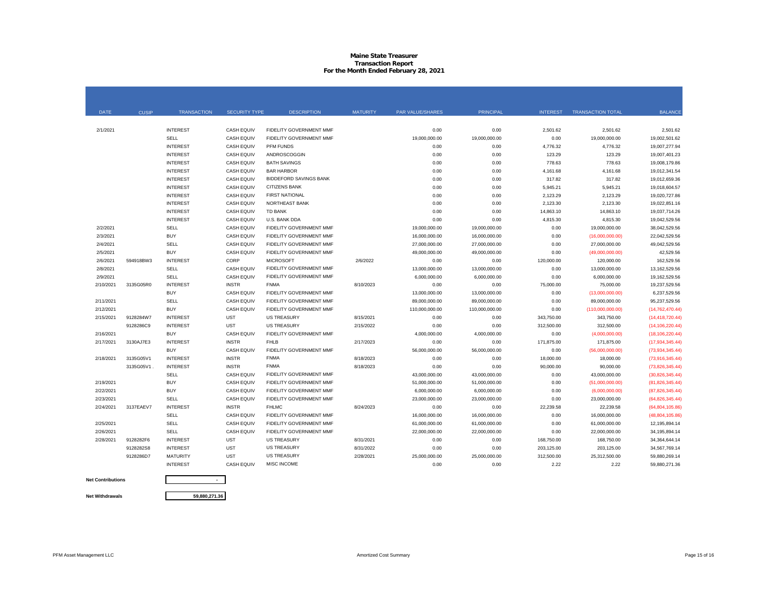# **Maine State Treasurer Transaction Report For the Month Ended February 28, 2021**

| <b>DATE</b> | CUSIP      | <b>TRANSACTION</b> | <b>SECURITY TYPE</b> | <b>DESCRIPTION</b>             | <b>MATURITY</b> | <b>PAR VALUE/SHARES</b> | <b>PRINCIPAL</b> | <b>INTEREST</b> | <b>TRANSACTION TOTAL</b> | <b>BALANCE</b>    |
|-------------|------------|--------------------|----------------------|--------------------------------|-----------------|-------------------------|------------------|-----------------|--------------------------|-------------------|
|             |            |                    |                      |                                |                 |                         |                  |                 |                          |                   |
| 2/1/2021    |            | <b>INTEREST</b>    | <b>CASH EQUIV</b>    | FIDELITY GOVERNMENT MMF        |                 | 0.00                    | 0.00             | 2,501.62        | 2,501.62                 | 2,501.62          |
|             |            | <b>SELL</b>        | <b>CASH EQUIV</b>    | <b>FIDELITY GOVERNMENT MMF</b> |                 | 19,000,000.00           | 19,000,000.00    | 0.00            | 19,000,000.00            | 19,002,501.62     |
|             |            | <b>INTEREST</b>    | <b>CASH EQUIV</b>    | PFM FUNDS                      |                 | 0.00                    | 0.00             | 4,776.32        | 4,776.32                 | 19,007,277.94     |
|             |            | <b>INTEREST</b>    | <b>CASH EQUIV</b>    | <b>ANDROSCOGGIN</b>            |                 | 0.00                    | 0.00             | 123.29          | 123.29                   | 19.007.401.23     |
|             |            | <b>INTEREST</b>    | <b>CASH EQUIV</b>    | <b>BATH SAVINGS</b>            |                 | 0.00                    | 0.00             | 778.63          | 778.63                   | 19,008,179.86     |
|             |            | <b>INTEREST</b>    | <b>CASH EQUIV</b>    | <b>BAR HARBOR</b>              |                 | 0.00                    | 0.00             | 4,161.68        | 4,161.68                 | 19,012,341.54     |
|             |            | <b>INTEREST</b>    | <b>CASH EQUIV</b>    | <b>BIDDEFORD SAVINGS BANK</b>  |                 | 0.00                    | 0.00             | 317.82          | 317.82                   | 19,012,659.36     |
|             |            | <b>INTEREST</b>    | <b>CASH EQUIV</b>    | <b>CITIZENS BANK</b>           |                 | 0.00                    | 0.00             | 5,945.21        | 5,945.21                 | 19,018,604.57     |
|             |            | <b>INTEREST</b>    | <b>CASH EQUIV</b>    | <b>FIRST NATIONAL</b>          |                 | 0.00                    | 0.00             | 2,123.29        | 2,123.29                 | 19,020,727.86     |
|             |            | <b>INTEREST</b>    | <b>CASH EQUIV</b>    | <b>NORTHEAST BANK</b>          |                 | 0.00                    | 0.00             | 2,123.30        | 2,123.30                 | 19,022,851.16     |
|             |            | <b>INTEREST</b>    | <b>CASH EQUIV</b>    | TD BANK                        |                 | 0.00                    | 0.00             | 14,863.10       | 14,863.10                | 19,037,714.26     |
|             |            | <b>INTEREST</b>    | <b>CASH EQUIV</b>    | U.S. BANK DDA                  |                 | 0.00                    | 0.00             | 4,815.30        | 4,815.30                 | 19,042,529.56     |
| 2/2/2021    |            | SELL               | <b>CASH EQUIV</b>    | FIDELITY GOVERNMENT MMF        |                 | 19,000,000.00           | 19,000,000.00    | 0.00            | 19,000,000.00            | 38.042.529.56     |
| 2/3/2021    |            | <b>BUY</b>         | <b>CASH EQUIV</b>    | FIDELITY GOVERNMENT MMF        |                 | 16,000,000.00           | 16,000,000.00    | 0.00            | (16,000,000.00)          | 22.042.529.56     |
| 2/4/2021    |            | SELL               | <b>CASH EQUIV</b>    | FIDELITY GOVERNMENT MMF        |                 | 27,000,000.00           | 27,000,000.00    | 0.00            | 27,000,000.00            | 49,042,529.56     |
| 2/5/2021    |            | <b>BUY</b>         | <b>CASH EQUIV</b>    | FIDELITY GOVERNMENT MMF        |                 | 49,000,000.00           | 49,000,000.00    | 0.00            | (49,000,000.00)          | 42,529.56         |
| 2/6/2021    | 594918BW3  | <b>INTEREST</b>    | CORP                 | <b>MICROSOFT</b>               | 2/6/2022        | 0.00                    | 0.00             | 120,000.00      | 120,000.00               | 162,529.56        |
| 2/8/2021    |            | <b>SELL</b>        | <b>CASH EQUIV</b>    | FIDELITY GOVERNMENT MMF        |                 | 13,000,000.00           | 13,000,000.00    | 0.00            | 13,000,000.00            | 13.162.529.56     |
| 2/9/2021    |            | SELL               | <b>CASH EQUIV</b>    | FIDELITY GOVERNMENT MMF        |                 | 6,000,000.00            | 6,000,000.00     | 0.00            | 6,000,000.00             | 19.162.529.56     |
| 2/10/2021   | 3135G05R0  | <b>INTEREST</b>    | <b>INSTR</b>         | <b>FNMA</b>                    | 8/10/2023       | 0.00                    | 0.00             | 75,000.00       | 75,000.00                | 19,237,529.56     |
|             |            | <b>BUY</b>         | <b>CASH EQUIV</b>    | FIDELITY GOVERNMENT MMF        |                 | 13,000,000.00           | 13,000,000.00    | 0.00            | (13,000,000.00)          | 6,237,529.56      |
| 2/11/2021   |            | SELL               | <b>CASH EQUIV</b>    | FIDELITY GOVERNMENT MMF        |                 | 89,000,000.00           | 89,000,000.00    | 0.00            | 89,000,000.00            | 95,237,529.56     |
| 2/12/2021   |            | <b>BUY</b>         | <b>CASH EQUIV</b>    | FIDELITY GOVERNMENT MMF        |                 | 110,000,000.00          | 110,000,000.00   | 0.00            | (110,000,000.00)         | (14, 762, 470.44) |
| 2/15/2021   | 9128284W7  | <b>INTEREST</b>    | <b>UST</b>           | <b>US TREASURY</b>             | 8/15/2021       | 0.00                    | 0.00             | 343,750.00      | 343,750.00               | (14, 418, 720.44) |
|             | 9128286C9  | <b>INTEREST</b>    | <b>UST</b>           | <b>US TREASURY</b>             | 2/15/2022       | 0.00                    | 0.00             | 312,500.00      | 312,500.00               | (14, 106, 220.44) |
| 2/16/2021   |            | <b>BUY</b>         | <b>CASH EQUIV</b>    | FIDELITY GOVERNMENT MMF        |                 | 4,000,000.00            | 4,000,000.00     | 0.00            | (4,000,000.00)           | (18, 106, 220.44) |
| 2/17/2021   | 3130AJ7E3  | <b>INTEREST</b>    | <b>INSTR</b>         | <b>FHLB</b>                    | 2/17/2023       | 0.00                    | 0.00             | 171,875.00      | 171,875.00               | (17,934,345.44)   |
|             |            | <b>BUY</b>         | <b>CASH EQUIV</b>    | FIDELITY GOVERNMENT MMF        |                 | 56,000,000.00           | 56,000,000.00    | 0.00            | (56,000,000.00)          | (73, 934, 345.44) |
| 2/18/2021   | 3135G05V1  | <b>INTEREST</b>    | <b>INSTR</b>         | <b>FNMA</b>                    | 8/18/2023       | 0.00                    | 0.00             | 18,000.00       | 18,000.00                | (73,916,345.44)   |
|             | 3135G05V1. | <b>INTEREST</b>    | <b>INSTR</b>         | <b>FNMA</b>                    | 8/18/2023       | 0.00                    | 0.00             | 90,000.00       | 90,000.00                | (73,826,345.44)   |
|             |            | <b>SELL</b>        | <b>CASH EQUIV</b>    | FIDELITY GOVERNMENT MMF        |                 | 43,000,000.00           | 43,000,000.00    | 0.00            | 43,000,000.00            | (30,826,345.44)   |
| 2/19/2021   |            | <b>BUY</b>         | <b>CASH EQUIV</b>    | FIDELITY GOVERNMENT MMF        |                 | 51,000,000.00           | 51,000,000.00    | 0.00            | (51,000,000.00)          | (81, 826, 345.44) |
| 2/22/2021   |            | <b>BUY</b>         | <b>CASH EQUIV</b>    | FIDELITY GOVERNMENT MMF        |                 | 6,000,000.00            | 6,000,000.00     | 0.00            | (6,000,000.00)           | (87.826.345.44)   |
| 2/23/2021   |            | <b>SELL</b>        | <b>CASH EQUIV</b>    | FIDELITY GOVERNMENT MMF        |                 | 23,000,000.00           | 23,000,000.00    | 0.00            | 23,000,000.00            | (64,826,345.44)   |
| 2/24/2021   | 3137EAEV7  | <b>INTEREST</b>    | <b>INSTR</b>         | <b>FHLMC</b>                   | 8/24/2023       | 0.00                    | 0.00             | 22,239.58       | 22,239.58                | (64,804,105.86)   |
|             |            | SELL               | <b>CASH EQUIV</b>    | FIDELITY GOVERNMENT MMF        |                 | 16,000,000.00           | 16,000,000.00    | 0.00            | 16,000,000.00            | (48,804,105.86)   |
| 2/25/2021   |            | <b>SELL</b>        | <b>CASH EQUIV</b>    | FIDELITY GOVERNMENT MMF        |                 | 61,000,000.00           | 61,000,000.00    | 0.00            | 61,000,000.00            | 12,195,894.14     |
| 2/26/2021   |            | <b>SELL</b>        | <b>CASH EQUIV</b>    | FIDELITY GOVERNMENT MMF        |                 | 22,000,000.00           | 22,000,000.00    | 0.00            | 22,000,000.00            | 34,195,894.14     |
| 2/28/2021   | 9128282F6  | <b>INTEREST</b>    | <b>UST</b>           | <b>US TREASURY</b>             | 8/31/2021       | 0.00                    | 0.00             | 168,750.00      | 168,750.00               | 34.364.644.14     |
|             | 9128282S8  | <b>INTEREST</b>    | <b>UST</b>           | <b>US TREASURY</b>             | 8/31/2022       | 0.00                    | 0.00             | 203,125.00      | 203,125.00               | 34,567,769.14     |
|             | 9128286D7  | MATURITY           | <b>UST</b>           | <b>US TREASURY</b>             | 2/28/2021       | 25,000,000.00           | 25,000,000.00    | 312,500.00      | 25,312,500.00            | 59,880,269.14     |
|             |            | <b>INTEREST</b>    | <b>CASH EQUIV</b>    | MISC INCOME                    |                 | 0.00                    | 0.00             | 2.22            | 2.22                     | 59,880,271.36     |

#### **Net Contributions**

**Net Withdrawals**

**59,880,271.36**

**-**